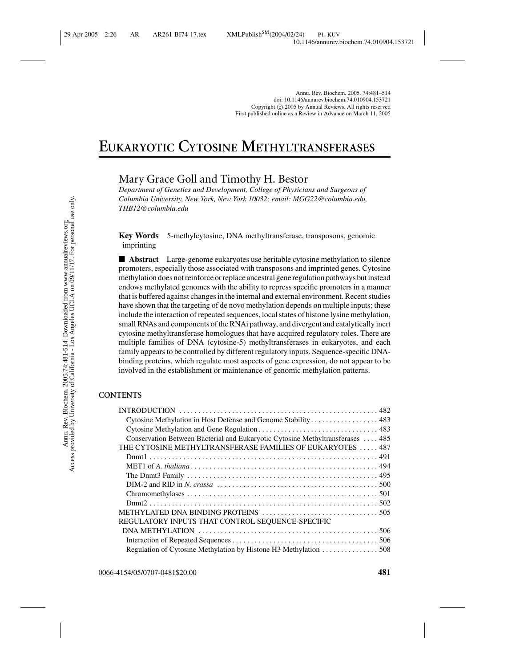# **EUKARYOTIC CYTOSINE METHYLTRANSFERASES**

# Mary Grace Goll and Timothy H. Bestor

*Department of Genetics and Development, College of Physicians and Surgeons of Columbia University, New York, New York 10032; email: MGG22@columbia.edu, THB12@columbia.edu*

**Key Words** 5-methylcytosine, DNA methyltransferase, transposons, genomic imprinting

■ **Abstract** Large-genome eukaryotes use heritable cytosine methylation to silence promoters, especially those associated with transposons and imprinted genes. Cytosine methylation does not reinforce or replace ancestral gene regulation pathways but instead endows methylated genomes with the ability to repress specific promoters in a manner that is buffered against changes in the internal and external environment. Recent studies have shown that the targeting of de novo methylation depends on multiple inputs; these include the interaction of repeated sequences, local states of histone lysine methylation, small RNAs and components of the RNAi pathway, and divergent and catalytically inert cytosine methyltransferase homologues that have acquired regulatory roles. There are multiple families of DNA (cytosine-5) methyltransferases in eukaryotes, and each family appears to be controlled by different regulatory inputs. Sequence-specific DNAbinding proteins, which regulate most aspects of gene expression, do not appear to be involved in the establishment or maintenance of genomic methylation patterns.

### **CONTENTS**

| Cytosine Methylation in Host Defense and Genome Stability 483                  |  |
|--------------------------------------------------------------------------------|--|
|                                                                                |  |
| Conservation Between Bacterial and Eukaryotic Cytosine Methyltransferases  485 |  |
| THE CYTOSINE METHYLTRANSFERASE FAMILIES OF EUKARYOTES  487                     |  |
|                                                                                |  |
|                                                                                |  |
|                                                                                |  |
|                                                                                |  |
|                                                                                |  |
|                                                                                |  |
|                                                                                |  |
| REGULATORY INPUTS THAT CONTROL SEQUENCE-SPECIFIC                               |  |
|                                                                                |  |
|                                                                                |  |
| Regulation of Cytosine Methylation by Histone H3 Methylation 508               |  |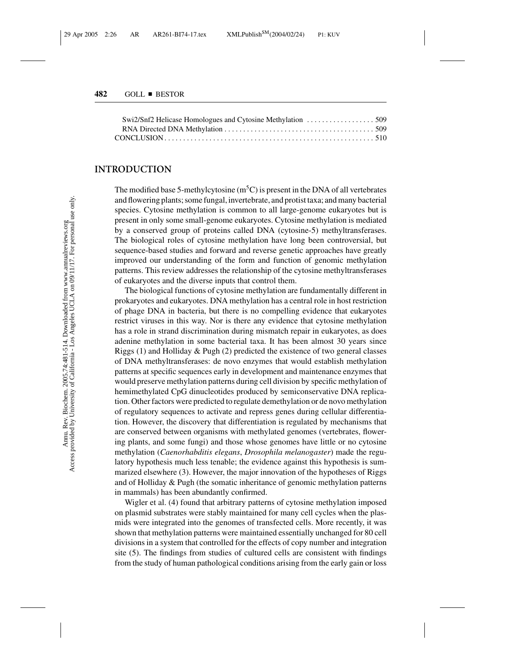## **INTRODUCTION**

The modified base 5-methylcytosine  $(m<sup>5</sup>C)$  is present in the DNA of all vertebrates and flowering plants; some fungal, invertebrate, and protist taxa; and many bacterial species. Cytosine methylation is common to all large-genome eukaryotes but is present in only some small-genome eukaryotes. Cytosine methylation is mediated by a conserved group of proteins called DNA (cytosine-5) methyltransferases. The biological roles of cytosine methylation have long been controversial, but sequence-based studies and forward and reverse genetic approaches have greatly improved our understanding of the form and function of genomic methylation patterns. This review addresses the relationship of the cytosine methyltransferases of eukaryotes and the diverse inputs that control them.

The biological functions of cytosine methylation are fundamentally different in prokaryotes and eukaryotes. DNA methylation has a central role in host restriction of phage DNA in bacteria, but there is no compelling evidence that eukaryotes restrict viruses in this way. Nor is there any evidence that cytosine methylation has a role in strand discrimination during mismatch repair in eukaryotes, as does adenine methylation in some bacterial taxa. It has been almost 30 years since Riggs  $(1)$  and Holliday & Pugh  $(2)$  predicted the existence of two general classes of DNA methyltransferases: de novo enzymes that would establish methylation patterns at specific sequences early in development and maintenance enzymes that would preserve methylation patterns during cell division by specific methylation of hemimethylated CpG dinucleotides produced by semiconservative DNA replication. Other factors were predicted to regulate demethylation or de novo methylation of regulatory sequences to activate and repress genes during cellular differentiation. However, the discovery that differentiation is regulated by mechanisms that are conserved between organisms with methylated genomes (vertebrates, flowering plants, and some fungi) and those whose genomes have little or no cytosine methylation (*Caenorhabditis elegans*, *Drosophila melanogaster*) made the regulatory hypothesis much less tenable; the evidence against this hypothesis is summarized elsewhere (3). However, the major innovation of the hypotheses of Riggs and of Holliday & Pugh (the somatic inheritance of genomic methylation patterns in mammals) has been abundantly confirmed.

Wigler et al. (4) found that arbitrary patterns of cytosine methylation imposed on plasmid substrates were stably maintained for many cell cycles when the plasmids were integrated into the genomes of transfected cells. More recently, it was shown that methylation patterns were maintained essentially unchanged for 80 cell divisions in a system that controlled for the effects of copy number and integration site (5). The findings from studies of cultured cells are consistent with findings from the study of human pathological conditions arising from the early gain or loss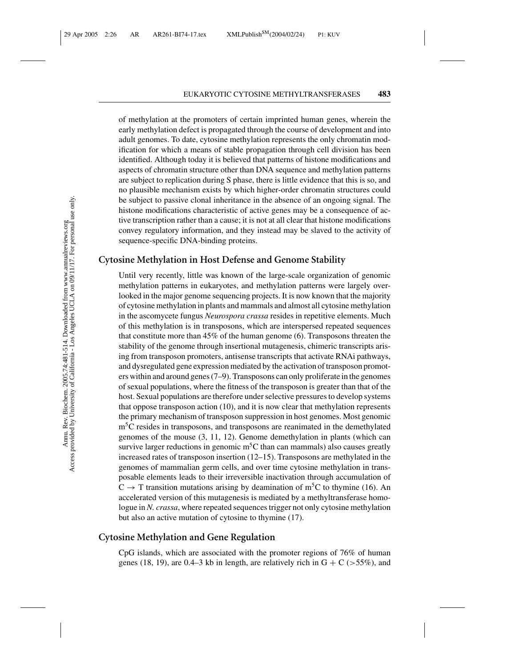of methylation at the promoters of certain imprinted human genes, wherein the early methylation defect is propagated through the course of development and into adult genomes. To date, cytosine methylation represents the only chromatin modification for which a means of stable propagation through cell division has been identified. Although today it is believed that patterns of histone modifications and aspects of chromatin structure other than DNA sequence and methylation patterns are subject to replication during S phase, there is little evidence that this is so, and no plausible mechanism exists by which higher-order chromatin structures could be subject to passive clonal inheritance in the absence of an ongoing signal. The histone modifications characteristic of active genes may be a consequence of active transcription rather than a cause; it is not at all clear that histone modifications convey regulatory information, and they instead may be slaved to the activity of sequence-specific DNA-binding proteins.

### **Cytosine Methylation in Host Defense and Genome Stability**

Until very recently, little was known of the large-scale organization of genomic methylation patterns in eukaryotes, and methylation patterns were largely overlooked in the major genome sequencing projects. It is now known that the majority of cytosine methylation in plants and mammals and almost all cytosine methylation in the ascomycete fungus *Neurospora crassa* resides in repetitive elements. Much of this methylation is in transposons, which are interspersed repeated sequences that constitute more than 45% of the human genome (6). Transposons threaten the stability of the genome through insertional mutagenesis, chimeric transcripts arising from transposon promoters, antisense transcripts that activate RNAi pathways, and dysregulated gene expression mediated by the activation of transposon promoters within and around genes (7–9). Transposons can only proliferate in the genomes of sexual populations, where the fitness of the transposon is greater than that of the host. Sexual populations are therefore under selective pressures to develop systems that oppose transposon action (10), and it is now clear that methylation represents the primary mechanism of transposon suppression in host genomes. Most genomic  $m<sup>5</sup>C$  resides in transposons, and transposons are reanimated in the demethylated genomes of the mouse (3, 11, 12). Genome demethylation in plants (which can survive larger reductions in genomic  $m<sup>5</sup>C$  than can mammals) also causes greatly increased rates of transposon insertion (12–15). Transposons are methylated in the genomes of mammalian germ cells, and over time cytosine methylation in transposable elements leads to their irreversible inactivation through accumulation of  $C \rightarrow T$  transition mutations arising by deamination of m<sup>5</sup>C to thymine (16). An accelerated version of this mutagenesis is mediated by a methyltransferase homologue in *N. crassa*, where repeated sequences trigger not only cytosine methylation but also an active mutation of cytosine to thymine (17).

### **Cytosine Methylation and Gene Regulation**

CpG islands, which are associated with the promoter regions of 76% of human genes (18, 19), are 0.4–3 kb in length, are relatively rich in  $G + C$  (>55%), and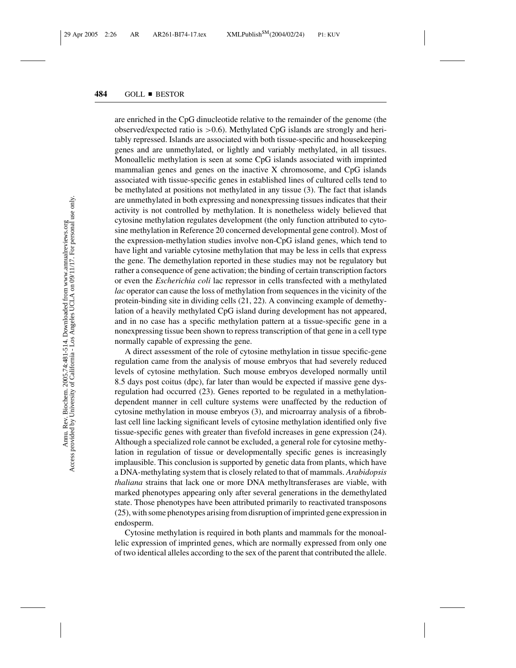are enriched in the CpG dinucleotide relative to the remainder of the genome (the observed/expected ratio is >0.6). Methylated CpG islands are strongly and heritably repressed. Islands are associated with both tissue-specific and housekeeping genes and are unmethylated, or lightly and variably methylated, in all tissues. Monoallelic methylation is seen at some CpG islands associated with imprinted mammalian genes and genes on the inactive X chromosome, and CpG islands associated with tissue-specific genes in established lines of cultured cells tend to be methylated at positions not methylated in any tissue (3). The fact that islands are unmethylated in both expressing and nonexpressing tissues indicates that their activity is not controlled by methylation. It is nonetheless widely believed that cytosine methylation regulates development (the only function attributed to cytosine methylation in Reference 20 concerned developmental gene control). Most of the expression-methylation studies involve non-CpG island genes, which tend to have light and variable cytosine methylation that may be less in cells that express the gene. The demethylation reported in these studies may not be regulatory but rather a consequence of gene activation; the binding of certain transcription factors or even the *Escherichia coli* lac repressor in cells transfected with a methylated *lac* operator can cause the loss of methylation from sequences in the vicinity of the protein-binding site in dividing cells (21, 22). A convincing example of demethylation of a heavily methylated CpG island during development has not appeared, and in no case has a specific methylation pattern at a tissue-specific gene in a nonexpressing tissue been shown to repress transcription of that gene in a cell type normally capable of expressing the gene.

A direct assessment of the role of cytosine methylation in tissue specific-gene regulation came from the analysis of mouse embryos that had severely reduced levels of cytosine methylation. Such mouse embryos developed normally until 8.5 days post coitus (dpc), far later than would be expected if massive gene dysregulation had occurred (23). Genes reported to be regulated in a methylationdependent manner in cell culture systems were unaffected by the reduction of cytosine methylation in mouse embryos (3), and microarray analysis of a fibroblast cell line lacking significant levels of cytosine methylation identified only five tissue-specific genes with greater than fivefold increases in gene expression (24). Although a specialized role cannot be excluded, a general role for cytosine methylation in regulation of tissue or developmentally specific genes is increasingly implausible. This conclusion is supported by genetic data from plants, which have a DNA-methylating system that is closely related to that of mammals. *Arabidopsis thaliana* strains that lack one or more DNA methyltransferases are viable, with marked phenotypes appearing only after several generations in the demethylated state. Those phenotypes have been attributed primarily to reactivated transposons (25), with some phenotypes arising from disruption of imprinted gene expression in endosperm.

Cytosine methylation is required in both plants and mammals for the monoallelic expression of imprinted genes, which are normally expressed from only one of two identical alleles according to the sex of the parent that contributed the allele.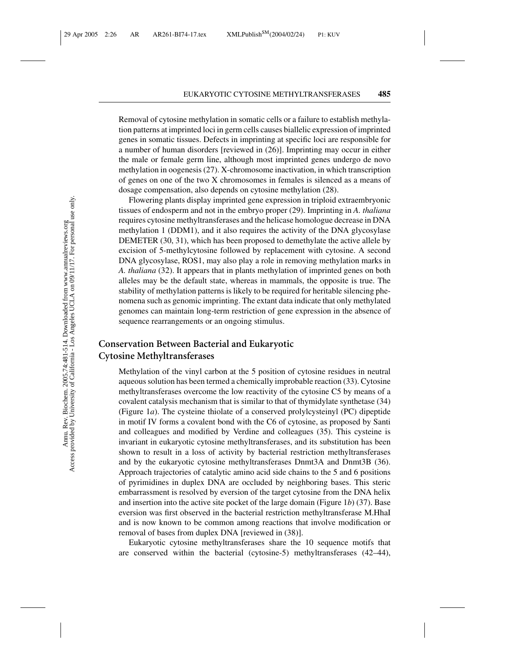Removal of cytosine methylation in somatic cells or a failure to establish methylation patterns at imprinted loci in germ cells causes biallelic expression of imprinted genes in somatic tissues. Defects in imprinting at specific loci are responsible for a number of human disorders [reviewed in (26)]. Imprinting may occur in either the male or female germ line, although most imprinted genes undergo de novo methylation in oogenesis (27). X-chromosome inactivation, in which transcription of genes on one of the two X chromosomes in females is silenced as a means of dosage compensation, also depends on cytosine methylation (28).

Flowering plants display imprinted gene expression in triploid extraembryonic tissues of endosperm and not in the embryo proper (29). Imprinting in *A. thaliana* requires cytosine methyltransferases and the helicase homologue decrease in DNA methylation 1 (DDM1), and it also requires the activity of the DNA glycosylase DEMETER (30, 31), which has been proposed to demethylate the active allele by excision of 5-methylcytosine followed by replacement with cytosine. A second DNA glycosylase, ROS1, may also play a role in removing methylation marks in *A. thaliana* (32). It appears that in plants methylation of imprinted genes on both alleles may be the default state, whereas in mammals, the opposite is true. The stability of methylation patterns is likely to be required for heritable silencing phenomena such as genomic imprinting. The extant data indicate that only methylated genomes can maintain long-term restriction of gene expression in the absence of sequence rearrangements or an ongoing stimulus.

## **Conservation Between Bacterial and Eukaryotic Cytosine Methyltransferases**

Methylation of the vinyl carbon at the 5 position of cytosine residues in neutral aqueous solution has been termed a chemically improbable reaction (33). Cytosine methyltransferases overcome the low reactivity of the cytosine C5 by means of a covalent catalysis mechanism that is similar to that of thymidylate synthetase (34) (Figure 1*a*). The cysteine thiolate of a conserved prolylcysteinyl (PC) dipeptide in motif IV forms a covalent bond with the C6 of cytosine, as proposed by Santi and colleagues and modified by Verdine and colleagues (35). This cysteine is invariant in eukaryotic cytosine methyltransferases, and its substitution has been shown to result in a loss of activity by bacterial restriction methyltransferases and by the eukaryotic cytosine methyltransferases Dnmt3A and Dnmt3B (36). Approach trajectories of catalytic amino acid side chains to the 5 and 6 positions of pyrimidines in duplex DNA are occluded by neighboring bases. This steric embarrassment is resolved by eversion of the target cytosine from the DNA helix and insertion into the active site pocket of the large domain (Figure 1*b*) (37). Base eversion was first observed in the bacterial restriction methyltransferase M.HhaI and is now known to be common among reactions that involve modification or removal of bases from duplex DNA [reviewed in (38)].

Eukaryotic cytosine methyltransferases share the 10 sequence motifs that are conserved within the bacterial (cytosine-5) methyltransferases (42–44),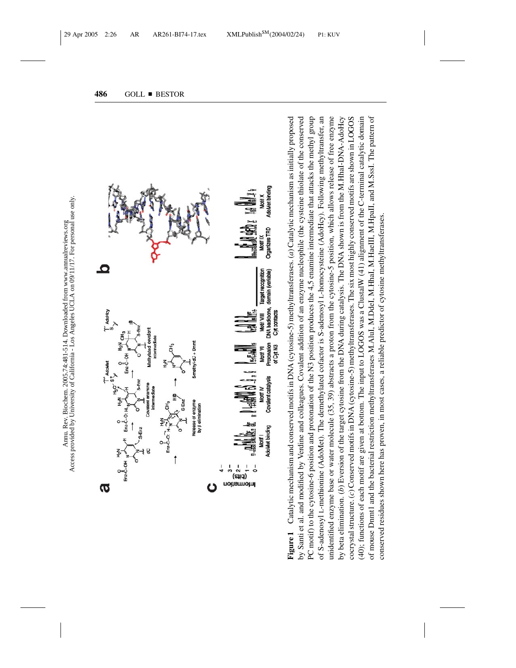

Annu. Rev. Biochem. 2005.74:481-514. Downloaded from www.annualreviews.org Access provided by University of California - Los Angeles UCLA on 09/11/17. For personal use only.

Annu. Rev. Biochem. 2005.74:481-514. Downloaded from www.annualreviews.org

Access provided by University of California - Los Angeles UCLA on 09/11/17. For personal use only.

of mouse Dnmt1 and the bacterial restriction methyltransferases M.AluI, M.DdeI, M.HhaI, M.HaeIII, M.HpaII, and M.SssI. The pattern of Figure 1 Catalytic mechanism and conserved motifs in DNA (cytosine-5) methyltransferases. (a) Catalytic mechanism as initially proposed by Santi et al. and modified by Verdine and colleagues. Covalent addition of an enzyme nucleophile (the cysteine thiolate of the conserved PC motif) to the cytosine-6 position and protonation of the N3 position produces the 4,5 enamine intermediate that attacks the methyl group of S-adenosyl L-methionine (AdoMet). The demethylated cofactor is S-adenosyl L-homocysteine (AdoHcy). Following methyltransfer, an unidentified enzyme base or water molecule (35, 39) abstracts a proton from the cytosine-5 position, which allows release of free enzyme by beta elimination. (b) Eversion of the target cytosine from the DNA during catalysis. The DNA shown is from the M.HhaI-DNA-AdoHcy cocrystal structure. (c) Conserved motifs in DNA (cytosine-5) methyltransferases. The six most highly conserved motifs are shown in LOGOS  $(40)$ ; functions of each motif are given at bottom. The input to LOGOS was a ClustalW  $(41)$  alignment of the C-terminal catalytic domain of mouse Dnmt1 and the bacterial restriction methyltransferases M.AluI, M.DdeI, M.HhaI, M.HaeIII, M.HpaII, and M.SssI. The pattern of **Figure 1** Catalytic mechanism and conserved motifs in DNA (cytosine-5) methyltransferases. (*a*) Catalytic mechanism as initially proposed by Santi et al. and modified by Verdine and colleagues. Covalent addition of an enzyme nucleophile (the cysteine thiolate of the conserved PC motif) to the cytosine-6 position and protonation of the N3 position produces the 4,5 enamine intermediate that attacks the methyl group of S-adenosyl L-methionine (AdoMet). The demethylated cofactor is S-adenosyl L-homocysteine (AdoHcy). Following methyltransfer, an unidentified enzyme base or water molecule (35, 39) abstracts a proton from the cytosine-5 position, which allows release of free enzyme by beta elimination. (*b*) Eversion of the target cytosine from the DNA during catalysis. The DNA shown is from the M.HhaI-DNA-AdoHcy cocrystal structure. (*c*) Conserved motifs in DNA (cytosine-5) methyltransferases. The six most highly conserved motifs are shown in LOGOS (40); functions of each motif are given at bottom. The input to LOGOS was a ClustalW (41) alignment of the C-terminal catalytic domain conserved residues shown here has proven, in most cases, a reliable predictor of cytosine methyltransferases. conserved residues shown here has proven, in most cases, a reliable predictor of cytosine methyltransferases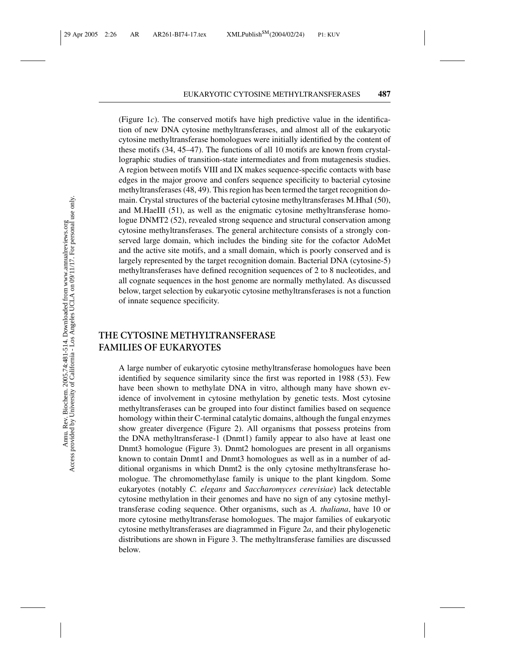(Figure 1*c*). The conserved motifs have high predictive value in the identification of new DNA cytosine methyltransferases, and almost all of the eukaryotic cytosine methyltransferase homologues were initially identified by the content of these motifs (34, 45–47). The functions of all 10 motifs are known from crystallographic studies of transition-state intermediates and from mutagenesis studies. A region between motifs VIII and IX makes sequence-specific contacts with base edges in the major groove and confers sequence specificity to bacterial cytosine methyltransferases (48, 49). This region has been termed the target recognition domain. Crystal structures of the bacterial cytosine methyltransferases M.HhaI (50), and M.HaeIII (51), as well as the enigmatic cytosine methyltransferase homologue DNMT2 (52), revealed strong sequence and structural conservation among cytosine methyltransferases. The general architecture consists of a strongly conserved large domain, which includes the binding site for the cofactor AdoMet and the active site motifs, and a small domain, which is poorly conserved and is largely represented by the target recognition domain. Bacterial DNA (cytosine-5) methyltransferases have defined recognition sequences of 2 to 8 nucleotides, and all cognate sequences in the host genome are normally methylated. As discussed below, target selection by eukaryotic cytosine methyltransferases is not a function of innate sequence specificity.

# **THE CYTOSINE METHYLTRANSFERASE FAMILIES OF EUKARYOTES**

A large number of eukaryotic cytosine methyltransferase homologues have been identified by sequence similarity since the first was reported in 1988 (53). Few have been shown to methylate DNA in vitro, although many have shown evidence of involvement in cytosine methylation by genetic tests. Most cytosine methyltransferases can be grouped into four distinct families based on sequence homology within their C-terminal catalytic domains, although the fungal enzymes show greater divergence (Figure 2). All organisms that possess proteins from the DNA methyltransferase-1 (Dnmt1) family appear to also have at least one Dnmt3 homologue (Figure 3). Dnmt2 homologues are present in all organisms known to contain Dnmt1 and Dnmt3 homologues as well as in a number of additional organisms in which Dnmt2 is the only cytosine methyltransferase homologue. The chromomethylase family is unique to the plant kingdom. Some eukaryotes (notably *C. elegans* and *Saccharomyces cerevisiae*) lack detectable cytosine methylation in their genomes and have no sign of any cytosine methyltransferase coding sequence. Other organisms, such as *A. thaliana*, have 10 or more cytosine methyltransferase homologues. The major families of eukaryotic cytosine methyltransferases are diagrammed in Figure 2*a*, and their phylogenetic distributions are shown in Figure 3. The methyltransferase families are discussed below.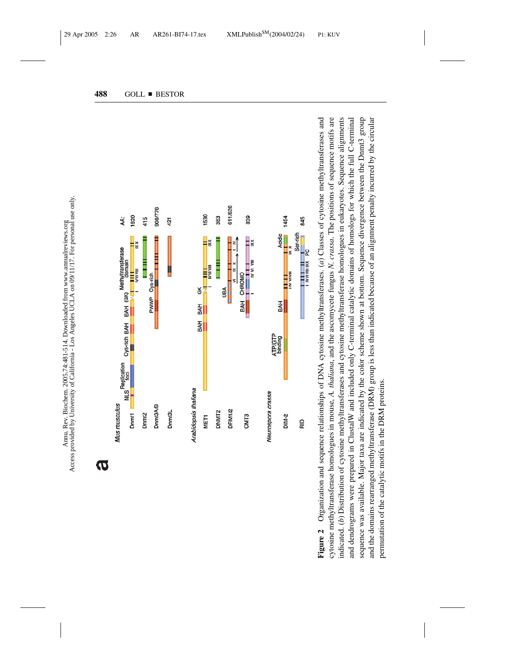



**Figure 2** Organization and sequence relationships of DNA cytosine methyltransferases. (a) Classes of cytosine methyltransferases and cytosine methyltransferase homologues in mouse, A. *thaliana*, and the ascomvecte fungus N. crassa. The positions of sequence motifs are indicated. (b) Distribution of cytosine methyltransferases and cytosine methyltransferase homologues in eukaryotes. Sequence alignments sequence was available. Major taxa are indicated by the color scheme shown at bottom. Sequence divergence between the Dnmt3 group and the domains rearranged methyltransferase (DRM) group is less than indicated because of an alignment penalty incurred by the circular **Figure 2** Organization and sequence relationships of DNA cytosine methyltransferases. (*a*) Classes of cytosine methyltransferases and cytosine methyltransferase homologues in mouse, *A. thaliana*, and the ascomycete fungus *N. crassa*. The positions of sequence motifs are indicated. (*b*) Distribution of cytosine methyltransferases and cytosine methyltransferase homologues in eukaryotes. Sequence alignments and dendrograms were prepared in ClustalW and included only C-terminal catalytic domains of homologs for which the full C-terminal and dendrograms were prepared in ClustalW and included only C-terminal catalytic domains of homologs for which the full C-terminal sequence was available. Major taxa are indicated by the color scheme shown at bottom. Sequence divergence between the Dnmt3 group and the domains rearranged methyltransferase (DRM) group is less than indicated because of an alignment penalty incurred by the circular permutation of the catalytic motifs in the DRM proteins. permutation of the catalytic motifs in the DRM proteins.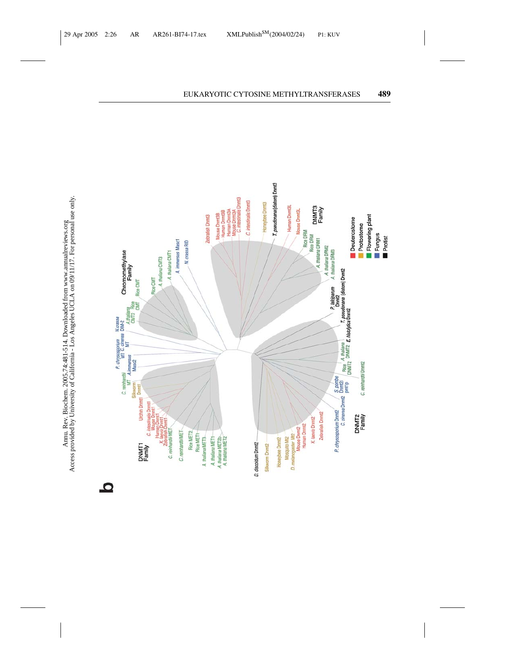

 Access provided by University of California - Los Angeles UCLA on 09/11/17. For personal use only. Annu. Rev. Biochem. 2005.74:481-514. Downloaded from www.annualreviews.org<br>Access provided by University of California - Los Angeles UCLA on 09/11/17. For personal use only. Annu. Rev. Biochem. 2005.74:481-514. Downloaded from www.annualreviews.org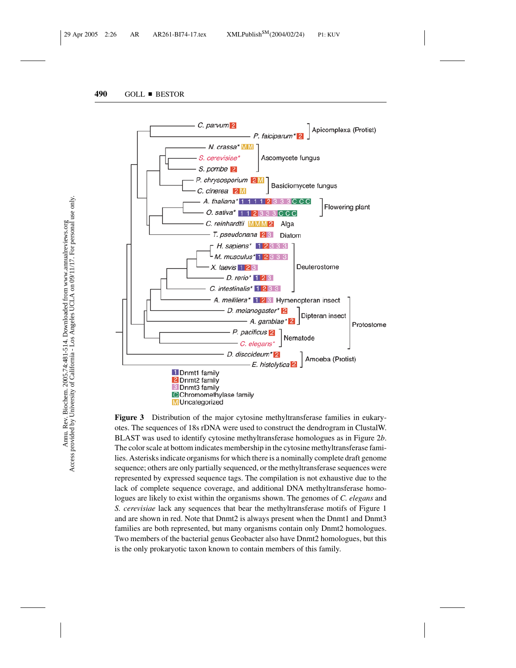

**Figure 3** Distribution of the major cytosine methyltransferase families in eukaryotes. The sequences of 18s rDNA were used to construct the dendrogram in ClustalW. BLAST was used to identify cytosine methyltransferase homologues as in Figure 2*b*. The color scale at bottom indicates membership in the cytosine methyltransferase families. Asterisks indicate organisms for which there is a nominally complete draft genome sequence; others are only partially sequenced, or the methyltransferase sequences were represented by expressed sequence tags. The compilation is not exhaustive due to the lack of complete sequence coverage, and additional DNA methyltransferase homologues are likely to exist within the organisms shown. The genomes of *C. elegans* and *S. cerevisiae* lack any sequences that bear the methyltransferase motifs of Figure 1 and are shown in red. Note that Dnmt2 is always present when the Dnmt1 and Dnmt3 families are both represented, but many organisms contain only Dnmt2 homologues. Two members of the bacterial genus Geobacter also have Dnmt2 homologues, but this is the only prokaryotic taxon known to contain members of this family.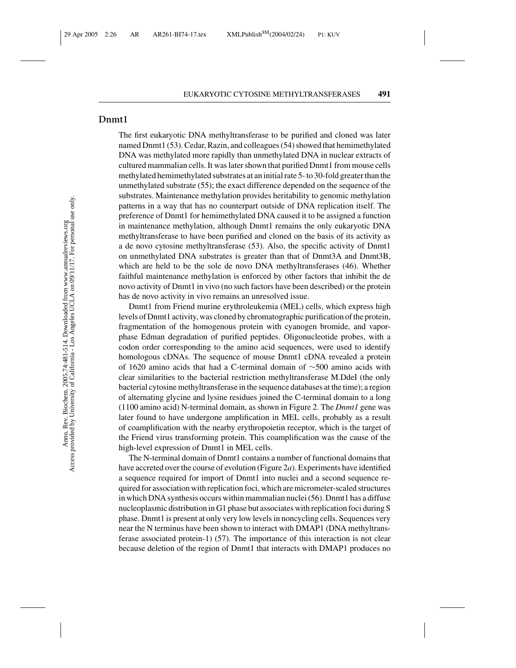#### **Dnmt1**

The first eukaryotic DNA methyltransferase to be purified and cloned was later named Dnmt1 (53). Cedar, Razin, and colleagues (54) showed that hemimethylated DNA was methylated more rapidly than unmethylated DNA in nuclear extracts of cultured mammalian cells. It was later shown that purified Dnmt1 from mouse cells methylated hemimethylated substrates at an initial rate 5- to 30-fold greater than the unmethylated substrate (55); the exact difference depended on the sequence of the substrates. Maintenance methylation provides heritability to genomic methylation patterns in a way that has no counterpart outside of DNA replication itself. The preference of Dnmt1 for hemimethylated DNA caused it to be assigned a function in maintenance methylation, although Dnmt1 remains the only eukaryotic DNA methyltransferase to have been purified and cloned on the basis of its activity as a de novo cytosine methyltransferase (53). Also, the specific activity of Dnmt1 on unmethylated DNA substrates is greater than that of Dnmt3A and Dnmt3B, which are held to be the sole de novo DNA methyltransferases (46). Whether faithful maintenance methylation is enforced by other factors that inhibit the de novo activity of Dnmt1 in vivo (no such factors have been described) or the protein has de novo activity in vivo remains an unresolved issue.

Dnmt1 from Friend murine erythroleukemia (MEL) cells, which express high levels of Dnmt1 activity, was cloned by chromatographic purification of the protein, fragmentation of the homogenous protein with cyanogen bromide, and vaporphase Edman degradation of purified peptides. Oligonucleotide probes, with a codon order corresponding to the amino acid sequences, were used to identify homologous cDNAs. The sequence of mouse Dnmt1 cDNA revealed a protein of 1620 amino acids that had a C-terminal domain of ∼500 amino acids with clear similarities to the bacterial restriction methyltransferase M.DdeI (the only bacterial cytosine methyltransferase in the sequence databases at the time); a region of alternating glycine and lysine residues joined the C-terminal domain to a long (1100 amino acid) N-terminal domain, as shown in Figure 2. The *Dnmt1* gene was later found to have undergone amplification in MEL cells, probably as a result of coamplification with the nearby erythropoietin receptor, which is the target of the Friend virus transforming protein. This coamplification was the cause of the high-level expression of Dnmt1 in MEL cells.

The N-terminal domain of Dnmt1 contains a number of functional domains that have accreted over the course of evolution (Figure 2*a*). Experiments have identified a sequence required for import of Dnmt1 into nuclei and a second sequence required for association with replication foci, which are micrometer-scaled structures in which DNA synthesis occurs within mammalian nuclei (56). Dnmt1 has a diffuse nucleoplasmic distribution in G1 phase but associates with replication foci during S phase. Dnmt1 is present at only very low levels in noncycling cells. Sequences very near the N terminus have been shown to interact with DMAP1 (DNA methyltransferase associated protein-1) (57). The importance of this interaction is not clear because deletion of the region of Dnmt1 that interacts with DMAP1 produces no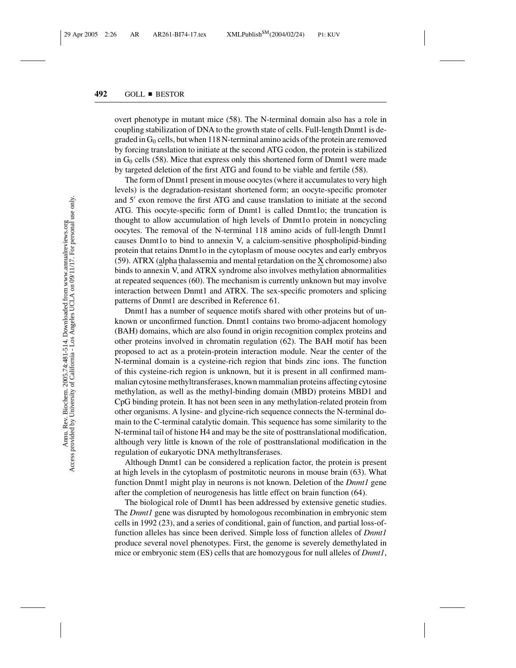overt phenotype in mutant mice (58). The N-terminal domain also has a role in coupling stabilization of DNA to the growth state of cells. Full-length Dnmt1 is degraded in  $G_0$  cells, but when 118 N-terminal amino acids of the protein are removed by forcing translation to initiate at the second ATG codon, the protein is stabilized in  $G_0$  cells (58). Mice that express only this shortened form of Dnmt1 were made by targeted deletion of the first ATG and found to be viable and fertile (58).

The form of Dnmt1 present in mouse oocytes (where it accumulates to very high levels) is the degradation-resistant shortened form; an oocyte-specific promoter and  $5'$  exon remove the first ATG and cause translation to initiate at the second ATG. This oocyte-specific form of Dnmt1 is called Dnmt1o; the truncation is thought to allow accumulation of high levels of Dnmt1o protein in noncycling oocytes. The removal of the N-terminal 118 amino acids of full-length Dnmt1 causes Dnmt1o to bind to annexin V, a calcium-sensitive phospholipid-binding protein that retains Dnmt1o in the cytoplasm of mouse oocytes and early embryos (59). ATRX (alpha thalassemia and mental retardation on the X chromosome) also binds to annexin V, and ATRX syndrome also involves methylation abnormalities at repeated sequences (60). The mechanism is currently unknown but may involve interaction between Dnmt1 and ATRX. The sex-specific promoters and splicing patterns of Dnmt1 are described in Reference 61.

Dnmt1 has a number of sequence motifs shared with other proteins but of unknown or unconfirmed function. Dnmt1 contains two bromo-adjacent homology (BAH) domains, which are also found in origin recognition complex proteins and other proteins involved in chromatin regulation (62). The BAH motif has been proposed to act as a protein-protein interaction module. Near the center of the N-terminal domain is a cysteine-rich region that binds zinc ions. The function of this cysteine-rich region is unknown, but it is present in all confirmed mammalian cytosine methyltransferases, known mammalian proteins affecting cytosine methylation, as well as the methyl-binding domain (MBD) proteins MBD1 and CpG binding protein. It has not been seen in any methylation-related protein from other organisms. A lysine- and glycine-rich sequence connects the N-terminal domain to the C-terminal catalytic domain. This sequence has some similarity to the N-terminal tail of histone H4 and may be the site of posttranslational modification, although very little is known of the role of posttranslational modification in the regulation of eukaryotic DNA methyltransferases.

Although Dnmt1 can be considered a replication factor, the protein is present at high levels in the cytoplasm of postmitotic neurons in mouse brain (63). What function Dnmt1 might play in neurons is not known. Deletion of the *Dnmt1* gene after the completion of neurogenesis has little effect on brain function (64).

The biological role of Dnmt1 has been addressed by extensive genetic studies. The *Dnmt1* gene was disrupted by homologous recombination in embryonic stem cells in 1992 (23), and a series of conditional, gain of function, and partial loss-offunction alleles has since been derived. Simple loss of function alleles of *Dnmt1* produce several novel phenotypes. First, the genome is severely demethylated in mice or embryonic stem (ES) cells that are homozygous for null alleles of *Dnmt1*,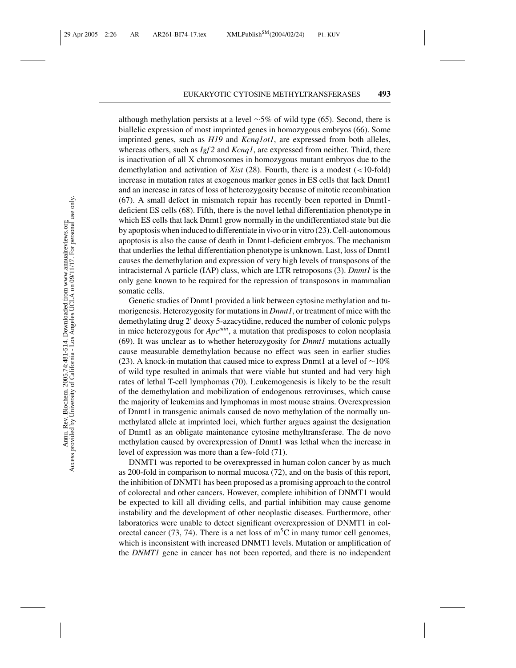although methylation persists at a level  $\sim$ 5% of wild type (65). Second, there is biallelic expression of most imprinted genes in homozygous embryos (66). Some imprinted genes, such as *H19* and *Kcnq1ot1*, are expressed from both alleles, whereas others, such as *Igf 2* and *Kcnq1*, are expressed from neither. Third, there is inactivation of all X chromosomes in homozygous mutant embryos due to the demethylation and activation of *Xist* (28). Fourth, there is a modest (<10-fold) increase in mutation rates at exogenous marker genes in ES cells that lack Dnmt1 and an increase in rates of loss of heterozygosity because of mitotic recombination (67). A small defect in mismatch repair has recently been reported in Dnmt1 deficient ES cells (68). Fifth, there is the novel lethal differentiation phenotype in which ES cells that lack Dnmt1 grow normally in the undifferentiated state but die by apoptosis when induced to differentiate in vivo or in vitro (23). Cell-autonomous apoptosis is also the cause of death in Dnmt1-deficient embryos. The mechanism that underlies the lethal differentiation phenotype is unknown. Last, loss of Dnmt1 causes the demethylation and expression of very high levels of transposons of the intracisternal A particle (IAP) class, which are LTR retroposons (3). *Dnmt1* is the only gene known to be required for the repression of transposons in mammalian somatic cells.

Genetic studies of Dnmt1 provided a link between cytosine methylation and tumorigenesis. Heterozygosity for mutations in *Dnmt1*, or treatment of mice with the demethylating drug 2' deoxy 5-azacytidine, reduced the number of colonic polyps in mice heterozygous for *Apcmin*, a mutation that predisposes to colon neoplasia (69). It was unclear as to whether heterozygosity for *Dnmt1* mutations actually cause measurable demethylation because no effect was seen in earlier studies (23). A knock-in mutation that caused mice to express Dnmt1 at a level of  $\sim$ 10% of wild type resulted in animals that were viable but stunted and had very high rates of lethal T-cell lymphomas (70). Leukemogenesis is likely to be the result of the demethylation and mobilization of endogenous retroviruses, which cause the majority of leukemias and lymphomas in most mouse strains. Overexpression of Dnmt1 in transgenic animals caused de novo methylation of the normally unmethylated allele at imprinted loci, which further argues against the designation of Dnmt1 as an obligate maintenance cytosine methyltransferase. The de novo methylation caused by overexpression of Dnmt1 was lethal when the increase in level of expression was more than a few-fold (71).

DNMT1 was reported to be overexpressed in human colon cancer by as much as 200-fold in comparison to normal mucosa (72), and on the basis of this report, the inhibition of DNMT1 has been proposed as a promising approach to the control of colorectal and other cancers. However, complete inhibition of DNMT1 would be expected to kill all dividing cells, and partial inhibition may cause genome instability and the development of other neoplastic diseases. Furthermore, other laboratories were unable to detect significant overexpression of DNMT1 in colorectal cancer (73, 74). There is a net loss of  $m<sup>5</sup>C$  in many tumor cell genomes, which is inconsistent with increased DNMT1 levels. Mutation or amplification of the *DNMT1* gene in cancer has not been reported, and there is no independent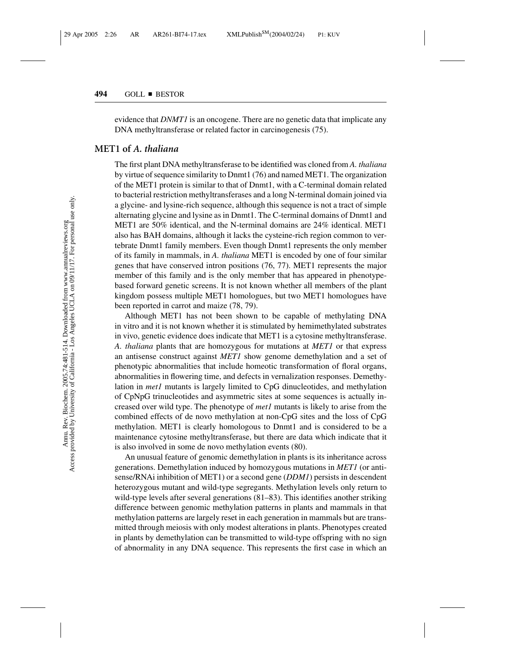evidence that *DNMT1* is an oncogene. There are no genetic data that implicate any DNA methyltransferase or related factor in carcinogenesis (75).

#### **MET1 of** *A. thaliana*

The first plant DNA methyltransferase to be identified was cloned from *A. thaliana* by virtue of sequence similarity to Dnmt1 (76) and named MET1. The organization of the MET1 protein is similar to that of Dnmt1, with a C-terminal domain related to bacterial restriction methyltransferases and a long N-terminal domain joined via a glycine- and lysine-rich sequence, although this sequence is not a tract of simple alternating glycine and lysine as in Dnmt1. The C-terminal domains of Dnmt1 and MET1 are 50% identical, and the N-terminal domains are 24% identical. MET1 also has BAH domains, although it lacks the cysteine-rich region common to vertebrate Dnmt1 family members. Even though Dnmt1 represents the only member of its family in mammals, in *A. thaliana* MET1 is encoded by one of four similar genes that have conserved intron positions (76, 77). MET1 represents the major member of this family and is the only member that has appeared in phenotypebased forward genetic screens. It is not known whether all members of the plant kingdom possess multiple MET1 homologues, but two MET1 homologues have been reported in carrot and maize (78, 79).

Although MET1 has not been shown to be capable of methylating DNA in vitro and it is not known whether it is stimulated by hemimethylated substrates in vivo, genetic evidence does indicate that MET1 is a cytosine methyltransferase. *A. thaliana* plants that are homozygous for mutations at *MET1* or that express an antisense construct against *MET1* show genome demethylation and a set of phenotypic abnormalities that include homeotic transformation of floral organs, abnormalities in flowering time, and defects in vernalization responses. Demethylation in *met1* mutants is largely limited to CpG dinucleotides, and methylation of CpNpG trinucleotides and asymmetric sites at some sequences is actually increased over wild type. The phenotype of *met1* mutants is likely to arise from the combined effects of de novo methylation at non-CpG sites and the loss of CpG methylation. MET1 is clearly homologous to Dnmt1 and is considered to be a maintenance cytosine methyltransferase, but there are data which indicate that it is also involved in some de novo methylation events (80).

An unusual feature of genomic demethylation in plants is its inheritance across generations. Demethylation induced by homozygous mutations in *MET1* (or antisense/RNAi inhibition of MET1) or a second gene (*DDM1*) persists in descendent heterozygous mutant and wild-type segregants. Methylation levels only return to wild-type levels after several generations (81–83). This identifies another striking difference between genomic methylation patterns in plants and mammals in that methylation patterns are largely reset in each generation in mammals but are transmitted through meiosis with only modest alterations in plants. Phenotypes created in plants by demethylation can be transmitted to wild-type offspring with no sign of abnormality in any DNA sequence. This represents the first case in which an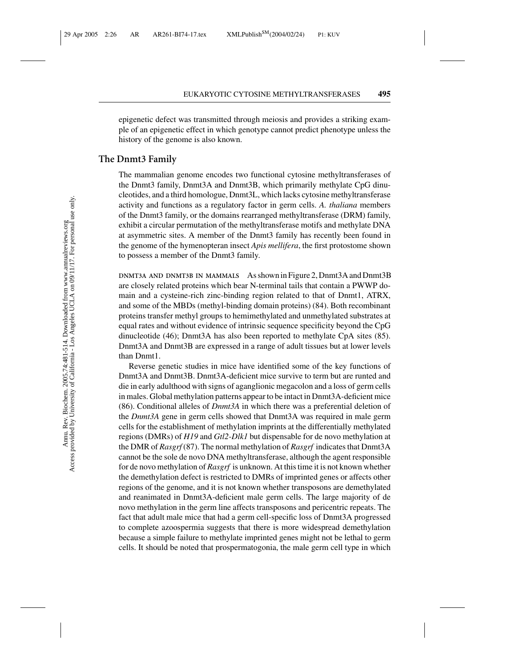epigenetic defect was transmitted through meiosis and provides a striking example of an epigenetic effect in which genotype cannot predict phenotype unless the history of the genome is also known.

### **The Dnmt3 Family**

The mammalian genome encodes two functional cytosine methyltransferases of the Dnmt3 family, Dnmt3A and Dnmt3B, which primarily methylate CpG dinucleotides, and a third homologue, Dnmt3L, which lacks cytosine methyltransferase activity and functions as a regulatory factor in germ cells. *A. thaliana* members of the Dnmt3 family, or the domains rearranged methyltransferase (DRM) family, exhibit a circular permutation of the methyltransferase motifs and methylate DNA at asymmetric sites. A member of the Dnmt3 family has recently been found in the genome of the hymenopteran insect *Apis mellifera*, the first protostome shown to possess a member of the Dnmt3 family.

**DNMT3A AND DNMT3B IN MAMMALS** As shown in Figure 2, Dnmt3A and Dnmt3B are closely related proteins which bear N-terminal tails that contain a PWWP domain and a cysteine-rich zinc-binding region related to that of Dnmt1, ATRX, and some of the MBDs (methyl-binding domain proteins) (84). Both recombinant proteins transfer methyl groups to hemimethylated and unmethylated substrates at equal rates and without evidence of intrinsic sequence specificity beyond the CpG dinucleotide (46); Dnmt3A has also been reported to methylate CpA sites (85). Dnmt3A and Dnmt3B are expressed in a range of adult tissues but at lower levels than Dnmt1.

Reverse genetic studies in mice have identified some of the key functions of Dnmt3A and Dnmt3B. Dnmt3A-deficient mice survive to term but are runted and die in early adulthood with signs of aganglionic megacolon and a loss of germ cells in males. Global methylation patterns appear to be intact in Dnmt3A-deficient mice (86). Conditional alleles of *Dnmt3A* in which there was a preferential deletion of the *Dnmt3A* gene in germ cells showed that Dnmt3A was required in male germ cells for the establishment of methylation imprints at the differentially methylated regions (DMRs) of *H19* and *Gtl2-Dlk1* but dispensable for de novo methylation at the DMR of *Rasgrf* (87). The normal methylation of *Rasgrf* indicates that Dnmt3A cannot be the sole de novo DNA methyltransferase, although the agent responsible for de novo methylation of *Rasgrf* is unknown. At this time it is not known whether the demethylation defect is restricted to DMRs of imprinted genes or affects other regions of the genome, and it is not known whether transposons are demethylated and reanimated in Dnmt3A-deficient male germ cells. The large majority of de novo methylation in the germ line affects transposons and pericentric repeats. The fact that adult male mice that had a germ cell-specific loss of Dnmt3A progressed to complete azoospermia suggests that there is more widespread demethylation because a simple failure to methylate imprinted genes might not be lethal to germ cells. It should be noted that prospermatogonia, the male germ cell type in which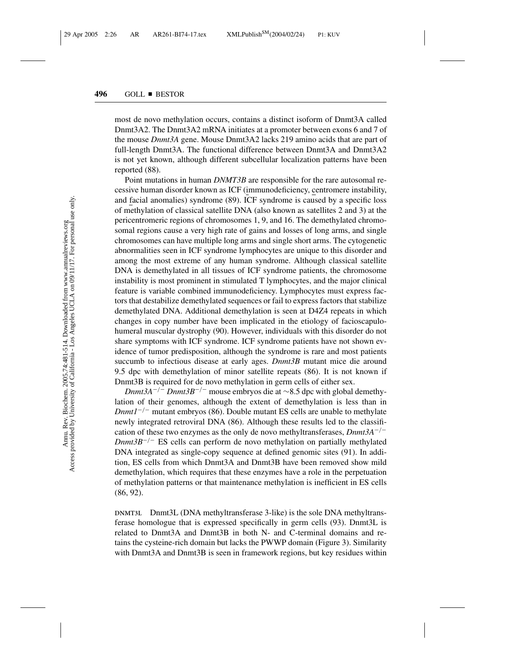most de novo methylation occurs, contains a distinct isoform of Dnmt3A called Dnmt3A2. The Dnmt3A2 mRNA initiates at a promoter between exons 6 and 7 of the mouse *Dnmt3A* gene. Mouse Dnmt3A2 lacks 219 amino acids that are part of full-length Dnmt3A. The functional difference between Dnmt3A and Dnmt3A2 is not yet known, although different subcellular localization patterns have been reported (88).

Point mutations in human *DNMT3B* are responsible for the rare autosomal recessive human disorder known as ICF (immunodeficiency, centromere instability, and facial anomalies) syndrome (89). ICF syndrome is caused by a specific loss of methylation of classical satellite DNA (also known as satellites 2 and 3) at the pericentromeric regions of chromosomes 1, 9, and 16. The demethylated chromosomal regions cause a very high rate of gains and losses of long arms, and single chromosomes can have multiple long arms and single short arms. The cytogenetic abnormalities seen in ICF syndrome lymphocytes are unique to this disorder and among the most extreme of any human syndrome. Although classical satellite DNA is demethylated in all tissues of ICF syndrome patients, the chromosome instability is most prominent in stimulated T lymphocytes, and the major clinical feature is variable combined immunodeficiency. Lymphocytes must express factors that destabilize demethylated sequences or fail to express factors that stabilize demethylated DNA. Additional demethylation is seen at D4Z4 repeats in which changes in copy number have been implicated in the etiology of facioscapulohumeral muscular dystrophy (90). However, individuals with this disorder do not share symptoms with ICF syndrome. ICF syndrome patients have not shown evidence of tumor predisposition, although the syndrome is rare and most patients succumb to infectious disease at early ages. *Dnmt3B* mutant mice die around 9.5 dpc with demethylation of minor satellite repeats (86). It is not known if Dnmt3B is required for de novo methylation in germ cells of either sex.

*Dnmt3A*−/<sup>−</sup> *Dnmt3B*−/<sup>−</sup> mouse embryos die at <sup>∼</sup>8.5 dpc with global demethylation of their genomes, although the extent of demethylation is less than in *Dnmt1<sup>−/−</sup>* mutant embryos (86). Double mutant ES cells are unable to methylate newly integrated retroviral DNA (86). Although these results led to the classification of these two enzymes as the only de novo methyltransferases, *Dnmt3A*−/<sup>−</sup> *Dnmt3B<sup>-/-</sup>* ES cells can perform de novo methylation on partially methylated DNA integrated as single-copy sequence at defined genomic sites (91). In addition, ES cells from which Dnmt3A and Dnmt3B have been removed show mild demethylation, which requires that these enzymes have a role in the perpetuation of methylation patterns or that maintenance methylation is inefficient in ES cells (86, 92).

**DNMT3L** Dnmt3L (DNA methyltransferase 3-like) is the sole DNA methyltransferase homologue that is expressed specifically in germ cells (93). Dnmt3L is related to Dnmt3A and Dnmt3B in both N- and C-terminal domains and retains the cysteine-rich domain but lacks the PWWP domain (Figure 3). Similarity with Dnmt3A and Dnmt3B is seen in framework regions, but key residues within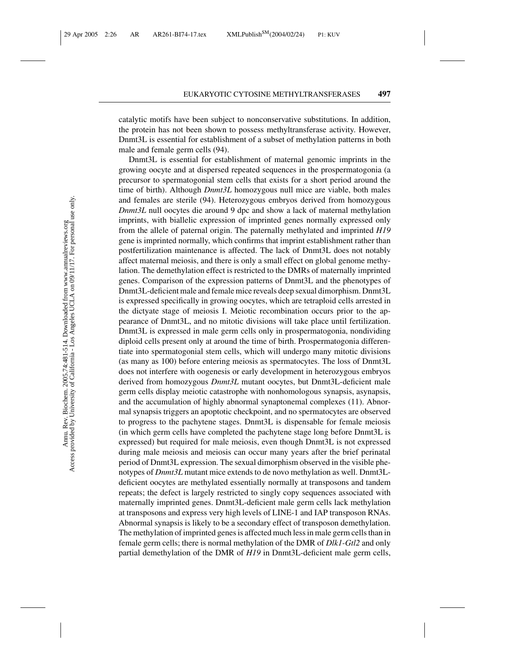catalytic motifs have been subject to nonconservative substitutions. In addition, the protein has not been shown to possess methyltransferase activity. However, Dnmt3L is essential for establishment of a subset of methylation patterns in both male and female germ cells (94).

Dnmt3L is essential for establishment of maternal genomic imprints in the growing oocyte and at dispersed repeated sequences in the prospermatogonia (a precursor to spermatogonial stem cells that exists for a short period around the time of birth). Although *Dnmt3L* homozygous null mice are viable, both males and females are sterile (94). Heterozygous embryos derived from homozygous *Dnmt3L* null oocytes die around 9 dpc and show a lack of maternal methylation imprints, with biallelic expression of imprinted genes normally expressed only from the allele of paternal origin. The paternally methylated and imprinted *H19* gene is imprinted normally, which confirms that imprint establishment rather than postfertilization maintenance is affected. The lack of Dnmt3L does not notably affect maternal meiosis, and there is only a small effect on global genome methylation. The demethylation effect is restricted to the DMRs of maternally imprinted genes. Comparison of the expression patterns of Dnmt3L and the phenotypes of Dnmt3L-deficient male and female mice reveals deep sexual dimorphism. Dnmt3L is expressed specifically in growing oocytes, which are tetraploid cells arrested in the dictyate stage of meiosis I. Meiotic recombination occurs prior to the appearance of Dnmt3L, and no mitotic divisions will take place until fertilization. Dnmt3L is expressed in male germ cells only in prospermatogonia, nondividing diploid cells present only at around the time of birth. Prospermatogonia differentiate into spermatogonial stem cells, which will undergo many mitotic divisions (as many as 100) before entering meiosis as spermatocytes. The loss of Dnmt3L does not interfere with oogenesis or early development in heterozygous embryos derived from homozygous *Dnmt3L* mutant oocytes, but Dnmt3L-deficient male germ cells display meiotic catastrophe with nonhomologous synapsis, asynapsis, and the accumulation of highly abnormal synaptonemal complexes (11). Abnormal synapsis triggers an apoptotic checkpoint, and no spermatocytes are observed to progress to the pachytene stages. Dnmt3L is dispensable for female meiosis (in which germ cells have completed the pachytene stage long before Dnmt3L is expressed) but required for male meiosis, even though Dnmt3L is not expressed during male meiosis and meiosis can occur many years after the brief perinatal period of Dnmt3L expression. The sexual dimorphism observed in the visible phenotypes of *Dnmt3L* mutant mice extends to de novo methylation as well. Dnmt3Ldeficient oocytes are methylated essentially normally at transposons and tandem repeats; the defect is largely restricted to singly copy sequences associated with maternally imprinted genes. Dnmt3L-deficient male germ cells lack methylation at transposons and express very high levels of LINE-1 and IAP transposon RNAs. Abnormal synapsis is likely to be a secondary effect of transposon demethylation. The methylation of imprinted genes is affected much less in male germ cells than in female germ cells; there is normal methylation of the DMR of *Dlk1-Gtl2* and only partial demethylation of the DMR of *H19* in Dnmt3L-deficient male germ cells,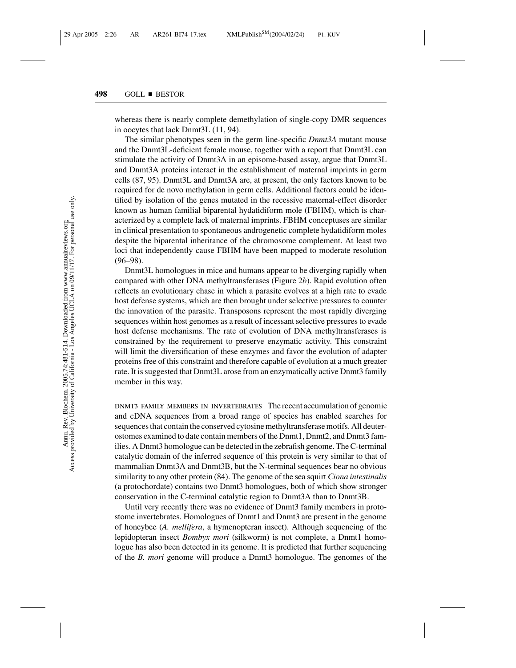whereas there is nearly complete demethylation of single-copy DMR sequences in oocytes that lack Dnmt3L (11, 94).

The similar phenotypes seen in the germ line-specific *Dnmt3A* mutant mouse and the Dnmt3L-deficient female mouse, together with a report that Dnmt3L can stimulate the activity of Dnmt3A in an episome-based assay, argue that Dnmt3L and Dnmt3A proteins interact in the establishment of maternal imprints in germ cells (87, 95). Dnmt3L and Dnmt3A are, at present, the only factors known to be required for de novo methylation in germ cells. Additional factors could be identified by isolation of the genes mutated in the recessive maternal-effect disorder known as human familial biparental hydatidiform mole (FBHM), which is characterized by a complete lack of maternal imprints. FBHM conceptuses are similar in clinical presentation to spontaneous androgenetic complete hydatidiform moles despite the biparental inheritance of the chromosome complement. At least two loci that independently cause FBHM have been mapped to moderate resolution (96–98).

Dnmt3L homologues in mice and humans appear to be diverging rapidly when compared with other DNA methyltransferases (Figure 2*b*). Rapid evolution often reflects an evolutionary chase in which a parasite evolves at a high rate to evade host defense systems, which are then brought under selective pressures to counter the innovation of the parasite. Transposons represent the most rapidly diverging sequences within host genomes as a result of incessant selective pressures to evade host defense mechanisms. The rate of evolution of DNA methyltransferases is constrained by the requirement to preserve enzymatic activity. This constraint will limit the diversification of these enzymes and favor the evolution of adapter proteins free of this constraint and therefore capable of evolution at a much greater rate. It is suggested that Dnmt3L arose from an enzymatically active Dnmt3 family member in this way.

**DNMT3 FAMILY MEMBERS IN INVERTEBRATES** The recent accumulation of genomic and cDNA sequences from a broad range of species has enabled searches for sequences that contain the conserved cytosine methyltransferase motifs. All deuterostomes examined to date contain members of the Dnmt1, Dnmt2, and Dnmt3 families. A Dnmt3 homologue can be detected in the zebrafish genome. The C-terminal catalytic domain of the inferred sequence of this protein is very similar to that of mammalian Dnmt3A and Dnmt3B, but the N-terminal sequences bear no obvious similarity to any other protein (84). The genome of the sea squirt *Ciona intestinalis* (a protochordate) contains two Dnmt3 homologues, both of which show stronger conservation in the C-terminal catalytic region to Dnmt3A than to Dnmt3B.

Until very recently there was no evidence of Dnmt3 family members in protostome invertebrates. Homologues of Dnmt1 and Dnmt3 are present in the genome of honeybee (*A. mellifera*, a hymenopteran insect). Although sequencing of the lepidopteran insect *Bombyx mori* (silkworm) is not complete, a Dnmt1 homologue has also been detected in its genome. It is predicted that further sequencing of the *B. mori* genome will produce a Dnmt3 homologue. The genomes of the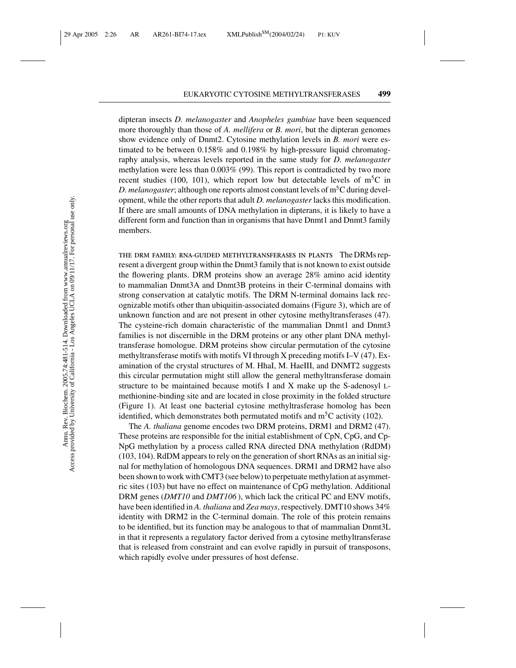dipteran insects *D. melanogaster* and *Anopheles gambiae* have been sequenced more thoroughly than those of *A. mellifera* or *B. mori*, but the dipteran genomes show evidence only of Dnmt2. Cytosine methylation levels in *B. mori* were estimated to be between 0.158% and 0.198% by high-pressure liquid chromatography analysis, whereas levels reported in the same study for *D. melanogaster* methylation were less than 0.003% (99). This report is contradicted by two more recent studies (100, 101), which report low but detectable levels of  $m<sup>5</sup>C$  in *D. melanogaster*; although one reports almost constant levels of m<sup>5</sup>C during development, while the other reports that adult *D. melanogaster* lacks this modification. If there are small amounts of DNA methylation in dipterans, it is likely to have a different form and function than in organisms that have Dnmt1 and Dnmt3 family members.

**THE DRM FAMILY: RNA-GUIDED METHYLTRANSFERASES IN PLANTS** The DRMs represent a divergent group within the Dnmt3 family that is not known to exist outside the flowering plants. DRM proteins show an average 28% amino acid identity to mammalian Dnmt3A and Dnmt3B proteins in their C-terminal domains with strong conservation at catalytic motifs. The DRM N-terminal domains lack recognizable motifs other than ubiquitin-associated domains (Figure 3), which are of unknown function and are not present in other cytosine methyltransferases (47). The cysteine-rich domain characteristic of the mammalian Dnmt1 and Dnmt3 families is not discernible in the DRM proteins or any other plant DNA methyltransferase homologue. DRM proteins show circular permutation of the cytosine methyltransferase motifs with motifs VI through X preceding motifs I–V (47). Examination of the crystal structures of M. HhaI, M. HaeIII, and DNMT2 suggests this circular permutation might still allow the general methyltransferase domain structure to be maintained because motifs I and X make up the S-adenosyl Lmethionine-binding site and are located in close proximity in the folded structure (Figure 1). At least one bacterial cytosine methyltrasferase homolog has been identified, which demonstrates both permutated motifs and  $m<sup>5</sup>C$  activity (102).

The *A. thaliana* genome encodes two DRM proteins, DRM1 and DRM2 (47). These proteins are responsible for the initial establishment of CpN, CpG, and Cp-NpG methylation by a process called RNA directed DNA methylation (RdDM) (103, 104). RdDM appears to rely on the generation of short RNAs as an initial signal for methylation of homologous DNA sequences. DRM1 and DRM2 have also been shown to work with CMT3 (see below) to perpetuate methylation at asymmetric sites (103) but have no effect on maintenance of CpG methylation. Additional DRM genes (*DMT10* and *DMT106* ), which lack the critical PC and ENV motifs, have been identified in *A. thaliana* and *Zea mays*, respectively. DMT10 shows 34% identity with DRM2 in the C-terminal domain. The role of this protein remains to be identified, but its function may be analogous to that of mammalian Dnmt3L in that it represents a regulatory factor derived from a cytosine methyltransferase that is released from constraint and can evolve rapidly in pursuit of transposons, which rapidly evolve under pressures of host defense.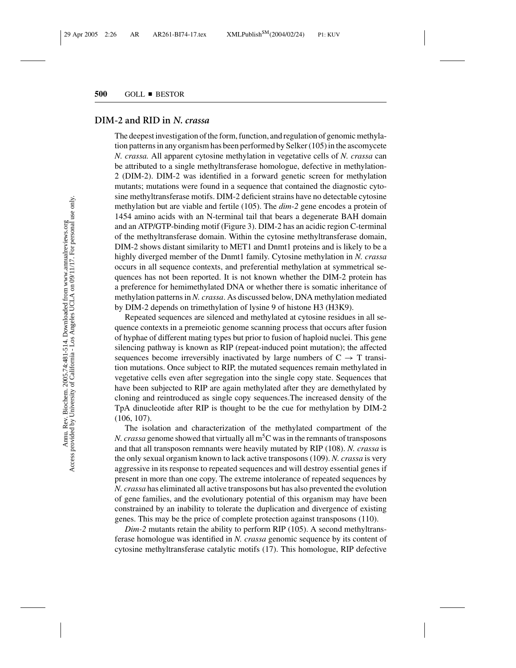#### **DIM-2 and RID in** *N. crassa*

The deepest investigation of the form, function, and regulation of genomic methylation patterns in any organism has been performed by Selker (105) in the ascomycete *N. crassa.* All apparent cytosine methylation in vegetative cells of *N. crassa* can be attributed to a single methyltransferase homologue, defective in methylation-2 (DIM-2). DIM-2 was identified in a forward genetic screen for methylation mutants; mutations were found in a sequence that contained the diagnostic cytosine methyltransferase motifs. DIM-2 deficient strains have no detectable cytosine methylation but are viable and fertile (105). The *dim-2* gene encodes a protein of 1454 amino acids with an N-terminal tail that bears a degenerate BAH domain and an ATP/GTP-binding motif (Figure 3). DIM-2 has an acidic region C-terminal of the methyltransferase domain. Within the cytosine methyltransferase domain, DIM-2 shows distant similarity to MET1 and Dnmt1 proteins and is likely to be a highly diverged member of the Dnmt1 family. Cytosine methylation in *N. crassa* occurs in all sequence contexts, and preferential methylation at symmetrical sequences has not been reported. It is not known whether the DIM-2 protein has a preference for hemimethylated DNA or whether there is somatic inheritance of methylation patterns in *N. crassa*. As discussed below, DNA methylation mediated by DIM-2 depends on trimethylation of lysine 9 of histone H3 (H3K9).

Repeated sequences are silenced and methylated at cytosine residues in all sequence contexts in a premeiotic genome scanning process that occurs after fusion of hyphae of different mating types but prior to fusion of haploid nuclei. This gene silencing pathway is known as RIP (repeat-induced point mutation); the affected sequences become irreversibly inactivated by large numbers of  $C \rightarrow T$  transition mutations. Once subject to RIP, the mutated sequences remain methylated in vegetative cells even after segregation into the single copy state. Sequences that have been subjected to RIP are again methylated after they are demethylated by cloning and reintroduced as single copy sequences.The increased density of the TpA dinucleotide after RIP is thought to be the cue for methylation by DIM-2 (106, 107).

The isolation and characterization of the methylated compartment of the *N. crassa* genome showed that virtually all  $m<sup>5</sup>C$  was in the remnants of transposons and that all transposon remnants were heavily mutated by RIP (108). *N. crassa* is the only sexual organism known to lack active transposons (109). *N. crassa* is very aggressive in its response to repeated sequences and will destroy essential genes if present in more than one copy. The extreme intolerance of repeated sequences by *N. crassa* has eliminated all active transposons but has also prevented the evolution of gene families, and the evolutionary potential of this organism may have been constrained by an inability to tolerate the duplication and divergence of existing genes. This may be the price of complete protection against transposons (110).

*Dim-2* mutants retain the ability to perform RIP (105). A second methyltransferase homologue was identified in *N. crassa* genomic sequence by its content of cytosine methyltransferase catalytic motifs (17). This homologue, RIP defective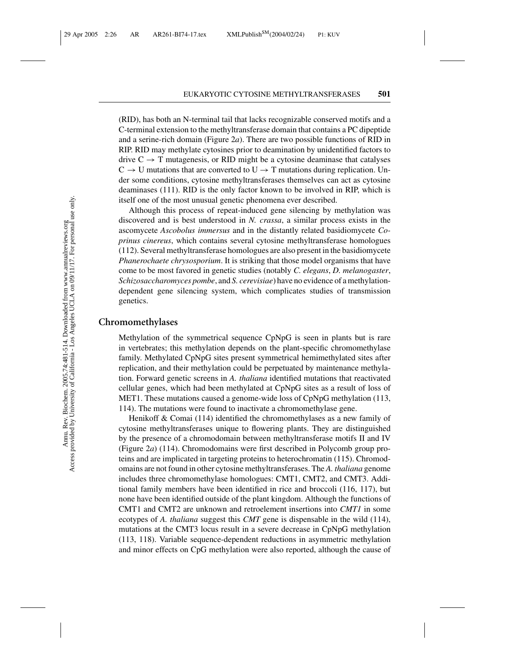(RID), has both an N-terminal tail that lacks recognizable conserved motifs and a C-terminal extension to the methyltransferase domain that contains a PC dipeptide and a serine-rich domain (Figure 2*a*). There are two possible functions of RID in RIP. RID may methylate cytosines prior to deamination by unidentified factors to drive  $C \rightarrow T$  mutagenesis, or RID might be a cytosine deaminase that catalyses  $C \rightarrow U$  mutations that are converted to  $U \rightarrow T$  mutations during replication. Under some conditions, cytosine methyltransferases themselves can act as cytosine deaminases (111). RID is the only factor known to be involved in RIP, which is itself one of the most unusual genetic phenomena ever described.

Although this process of repeat-induced gene silencing by methylation was discovered and is best understood in *N. crassa*, a similar process exists in the ascomycete *Ascobolus immersus* and in the distantly related basidiomycete *Coprinus cinereus*, which contains several cytosine methyltransferase homologues (112). Several methyltransferase homologues are also present in the basidiomycete *Phanerochaete chrysosporium*. It is striking that those model organisms that have come to be most favored in genetic studies (notably *C. elegans*, *D. melanogaster*, *Schizosaccharomyces pombe*, and *S. cerevisiae*) have no evidence of a methylationdependent gene silencing system, which complicates studies of transmission genetics.

#### **Chromomethylases**

Methylation of the symmetrical sequence CpNpG is seen in plants but is rare in vertebrates; this methylation depends on the plant-specific chromomethylase family. Methylated CpNpG sites present symmetrical hemimethylated sites after replication, and their methylation could be perpetuated by maintenance methylation. Forward genetic screens in *A. thaliana* identified mutations that reactivated cellular genes, which had been methylated at CpNpG sites as a result of loss of MET1. These mutations caused a genome-wide loss of CpNpG methylation (113, 114). The mutations were found to inactivate a chromomethylase gene.

Henikoff & Comai (114) identified the chromomethylases as a new family of cytosine methyltransferases unique to flowering plants. They are distinguished by the presence of a chromodomain between methyltransferase motifs II and IV (Figure 2*a*) (114). Chromodomains were first described in Polycomb group proteins and are implicated in targeting proteins to heterochromatin (115). Chromodomains are not found in other cytosine methyltransferases. The *A. thaliana* genome includes three chromomethylase homologues: CMT1, CMT2, and CMT3. Additional family members have been identified in rice and broccoli (116, 117), but none have been identified outside of the plant kingdom. Although the functions of CMT1 and CMT2 are unknown and retroelement insertions into *CMT1* in some ecotypes of *A. thaliana* suggest this *CMT* gene is dispensable in the wild (114), mutations at the CMT3 locus result in a severe decrease in CpNpG methylation (113, 118). Variable sequence-dependent reductions in asymmetric methylation and minor effects on CpG methylation were also reported, although the cause of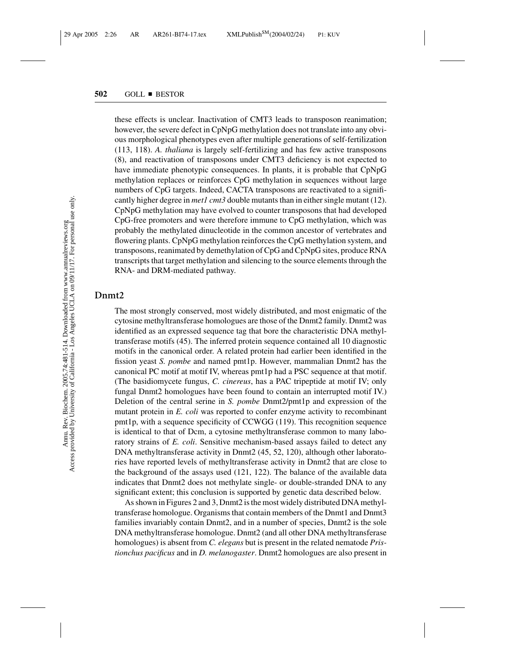these effects is unclear. Inactivation of CMT3 leads to transposon reanimation; however, the severe defect in CpNpG methylation does not translate into any obvious morphological phenotypes even after multiple generations of self-fertilization (113, 118). *A. thaliana* is largely self-fertilizing and has few active transposons (8), and reactivation of transposons under CMT3 deficiency is not expected to have immediate phenotypic consequences. In plants, it is probable that CpNpG methylation replaces or reinforces CpG methylation in sequences without large numbers of CpG targets. Indeed, CACTA transposons are reactivated to a significantly higher degree in *met1 cmt3* double mutants than in either single mutant (12). CpNpG methylation may have evolved to counter transposons that had developed CpG-free promoters and were therefore immune to CpG methylation, which was probably the methylated dinucleotide in the common ancestor of vertebrates and flowering plants. CpNpG methylation reinforces the CpG methylation system, and transposons, reanimated by demethylation of CpG and CpNpG sites, produce RNA transcripts that target methylation and silencing to the source elements through the RNA- and DRM-mediated pathway.

#### **Dnmt2**

The most strongly conserved, most widely distributed, and most enigmatic of the cytosine methyltransferase homologues are those of the Dnmt2 family. Dnmt2 was identified as an expressed sequence tag that bore the characteristic DNA methyltransferase motifs (45). The inferred protein sequence contained all 10 diagnostic motifs in the canonical order. A related protein had earlier been identified in the fission yeast *S. pombe* and named pmt1p. However, mammalian Dnmt2 has the canonical PC motif at motif IV, whereas pmt1p had a PSC sequence at that motif. (The basidiomycete fungus, *C. cinereus*, has a PAC tripeptide at motif IV; only fungal Dnmt2 homologues have been found to contain an interrupted motif IV.) Deletion of the central serine in *S. pombe* Dnmt2/pmt1p and expression of the mutant protein in *E. coli* was reported to confer enzyme activity to recombinant pmt1p, with a sequence specificity of CCWGG (119). This recognition sequence is identical to that of Dcm, a cytosine methyltransferase common to many laboratory strains of *E. coli*. Sensitive mechanism-based assays failed to detect any DNA methyltransferase activity in Dnmt2 (45, 52, 120), although other laboratories have reported levels of methyltransferase activity in Dnmt2 that are close to the background of the assays used (121, 122). The balance of the available data indicates that Dnmt2 does not methylate single- or double-stranded DNA to any significant extent; this conclusion is supported by genetic data described below.

As shown in Figures 2 and 3, Dnmt2 is the most widely distributed DNA methyltransferase homologue. Organisms that contain members of the Dnmt1 and Dnmt3 families invariably contain Dnmt2, and in a number of species, Dnmt2 is the sole DNA methyltransferase homologue. Dnmt2 (and all other DNA methyltransferase homologues) is absent from *C. elegans* but is present in the related nematode *Pristionchus pacificus* and in *D. melanogaster*. Dnmt2 homologues are also present in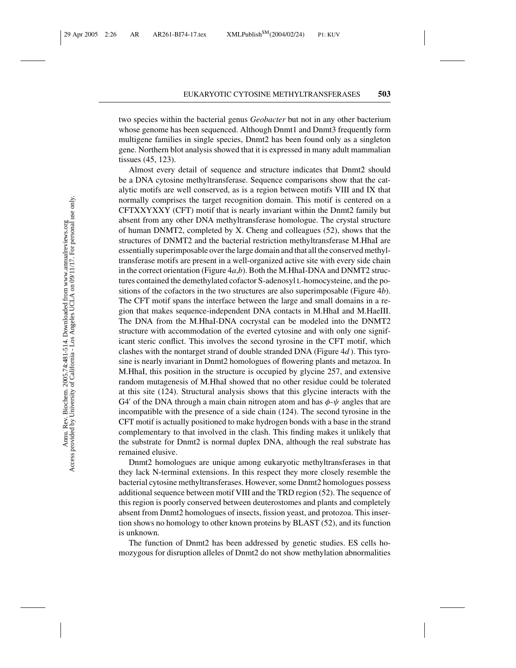two species within the bacterial genus *Geobacter* but not in any other bacterium whose genome has been sequenced. Although Dnmt1 and Dnmt3 frequently form multigene families in single species, Dnmt2 has been found only as a singleton gene. Northern blot analysis showed that it is expressed in many adult mammalian tissues (45, 123).

Almost every detail of sequence and structure indicates that Dnmt2 should be a DNA cytosine methyltransferase. Sequence comparisons show that the catalytic motifs are well conserved, as is a region between motifs VIII and IX that normally comprises the target recognition domain. This motif is centered on a CFTXXYXXY (CFT) motif that is nearly invariant within the Dnmt2 family but absent from any other DNA methyltransferase homologue. The crystal structure of human DNMT2, completed by X. Cheng and colleagues (52), shows that the structures of DNMT2 and the bacterial restriction methyltransferase M.HhaI are essentially superimposable over the large domain and that all the conserved methyltransferase motifs are present in a well-organized active site with every side chain in the correct orientation (Figure 4*a*,*b*). Both the M.HhaI-DNA and DNMT2 structures contained the demethylated cofactor S-adenosyl L-homocysteine, and the positions of the cofactors in the two structures are also superimposable (Figure 4*b*). The CFT motif spans the interface between the large and small domains in a region that makes sequence-independent DNA contacts in M.HhaI and M.HaeIII. The DNA from the M.HhaI-DNA cocrystal can be modeled into the DNMT2 structure with accommodation of the everted cytosine and with only one significant steric conflict. This involves the second tyrosine in the CFT motif, which clashes with the nontarget strand of double stranded DNA (Figure 4*d* ). This tyrosine is nearly invariant in Dnmt2 homologues of flowering plants and metazoa. In M.HhaI, this position in the structure is occupied by glycine 257, and extensive random mutagenesis of M.HhaI showed that no other residue could be tolerated at this site (124). Structural analysis shows that this glycine interacts with the G4' of the DNA through a main chain nitrogen atom and has  $\phi$ - $\psi$  angles that are incompatible with the presence of a side chain (124). The second tyrosine in the CFT motif is actually positioned to make hydrogen bonds with a base in the strand complementary to that involved in the clash. This finding makes it unlikely that the substrate for Dnmt2 is normal duplex DNA, although the real substrate has remained elusive.

Dnmt2 homologues are unique among eukaryotic methyltransferases in that they lack N-terminal extensions. In this respect they more closely resemble the bacterial cytosine methyltransferases. However, some Dnmt2 homologues possess additional sequence between motif VIII and the TRD region (52). The sequence of this region is poorly conserved between deuterostomes and plants and completely absent from Dnmt2 homologues of insects, fission yeast, and protozoa. This insertion shows no homology to other known proteins by BLAST (52), and its function is unknown.

The function of Dnmt2 has been addressed by genetic studies. ES cells homozygous for disruption alleles of Dnmt2 do not show methylation abnormalities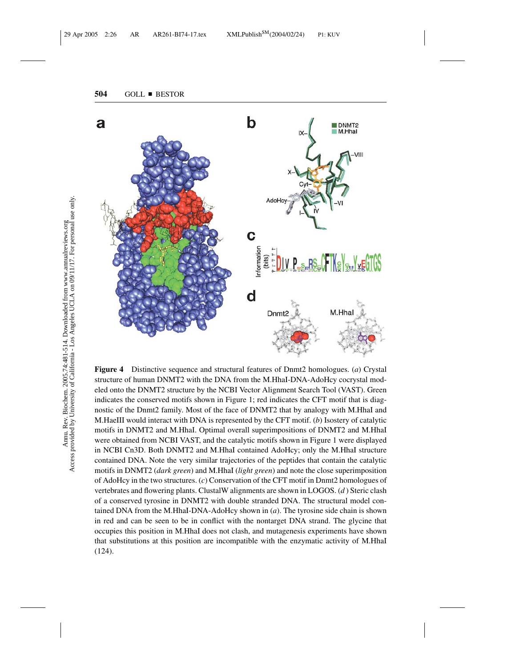

**Figure 4** Distinctive sequence and structural features of Dnmt2 homologues. (*a*) Crystal structure of human DNMT2 with the DNA from the M.HhaI-DNA-AdoHcy cocrystal modeled onto the DNMT2 structure by the NCBI Vector Alignment Search Tool (VAST). Green indicates the conserved motifs shown in Figure 1; red indicates the CFT motif that is diagnostic of the Dnmt2 family. Most of the face of DNMT2 that by analogy with M.HhaI and M.HaeIII would interact with DNA is represented by the CFT motif. (*b*) Isostery of catalytic motifs in DNMT2 and M.HhaI. Optimal overall superimpositions of DNMT2 and M.HhaI were obtained from NCBI VAST, and the catalytic motifs shown in Figure 1 were displayed in NCBI Cn3D. Both DNMT2 and M.HhaI contained AdoHcy; only the M.HhaI structure contained DNA. Note the very similar trajectories of the peptides that contain the catalytic motifs in DNMT2 (*dark green*) and M.HhaI (*light green*) and note the close superimposition of AdoHcy in the two structures. (*c*) Conservation of the CFT motif in Dnmt2 homologues of vertebrates and flowering plants. ClustalW alignments are shown in LOGOS. (*d* ) Steric clash of a conserved tyrosine in DNMT2 with double stranded DNA. The structural model contained DNA from the M.HhaI-DNA-AdoHcy shown in (*a*). The tyrosine side chain is shown in red and can be seen to be in conflict with the nontarget DNA strand. The glycine that occupies this position in M.HhaI does not clash, and mutagenesis experiments have shown that substitutions at this position are incompatible with the enzymatic activity of M.HhaI (124).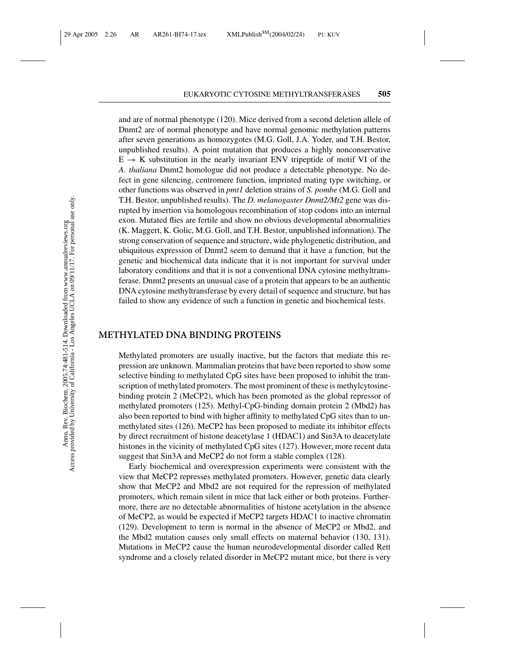and are of normal phenotype (120). Mice derived from a second deletion allele of Dnmt2 are of normal phenotype and have normal genomic methylation patterns after seven generations as homozygotes (M.G. Goll, J.A. Yoder, and T.H. Bestor, unpublished results). A point mutation that produces a highly nonconservative  $E \rightarrow K$  substitution in the nearly invariant ENV tripeptide of motif VI of the *A. thaliana* Dnmt2 homologue did not produce a detectable phenotype. No defect in gene silencing, centromere function, imprinted mating type switching, or other functions was observed in *pmt1* deletion strains of *S. pombe* (M.G. Goll and T.H. Bestor, unpublished results). The *D. melanogaster Dnmt2/Mt2* gene was disrupted by insertion via homologous recombination of stop codons into an internal exon. Mutated flies are fertile and show no obvious developmental abnormalities (K. Maggert, K. Golic, M.G. Goll, and T.H. Bestor, unpublished information). The strong conservation of sequence and structure, wide phylogenetic distribution, and ubiquitous expression of Dnmt2 seem to demand that it have a function, but the genetic and biochemical data indicate that it is not important for survival under laboratory conditions and that it is not a conventional DNA cytosine methyltransferase. Dnmt2 presents an unusual case of a protein that appears to be an authentic DNA cytosine methyltransferase by every detail of sequence and structure, but has failed to show any evidence of such a function in genetic and biochemical tests.

## **METHYLATED DNA BINDING PROTEINS**

Methylated promoters are usually inactive, but the factors that mediate this repression are unknown. Mammalian proteins that have been reported to show some selective binding to methylated CpG sites have been proposed to inhibit the transcription of methylated promoters. The most prominent of these is methylcytosinebinding protein 2 (MeCP2), which has been promoted as the global repressor of methylated promoters (125). Methyl-CpG-binding domain protein 2 (Mbd2) has also been reported to bind with higher affinity to methylated CpG sites than to unmethylated sites (126). MeCP2 has been proposed to mediate its inhibitor effects by direct recruitment of histone deacetylase 1 (HDAC1) and Sin3A to deacetylate histones in the vicinity of methylated CpG sites (127). However, more recent data suggest that Sin3A and MeCP2 do not form a stable complex (128).

Early biochemical and overexpression experiments were consistent with the view that MeCP2 represses methylated promoters. However, genetic data clearly show that MeCP2 and Mbd2 are not required for the repression of methylated promoters, which remain silent in mice that lack either or both proteins. Furthermore, there are no detectable abnormalities of histone acetylation in the absence of MeCP2, as would be expected if MeCP2 targets HDAC1 to inactive chromatin (129). Development to term is normal in the absence of MeCP2 or Mbd2, and the Mbd2 mutation causes only small effects on maternal behavior (130, 131). Mutations in MeCP2 cause the human neurodevelopmental disorder called Rett syndrome and a closely related disorder in MeCP2 mutant mice, but there is very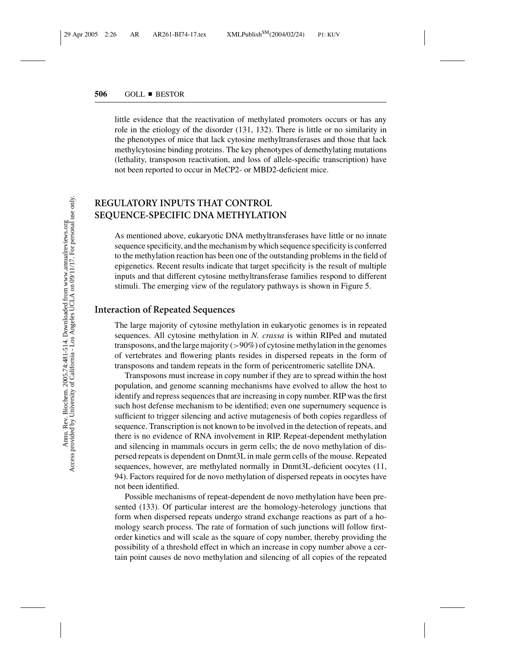little evidence that the reactivation of methylated promoters occurs or has any role in the etiology of the disorder (131, 132). There is little or no similarity in the phenotypes of mice that lack cytosine methyltransferases and those that lack methylcytosine binding proteins. The key phenotypes of demethylating mutations (lethality, transposon reactivation, and loss of allele-specific transcription) have not been reported to occur in MeCP2- or MBD2-deficient mice.

# **REGULATORY INPUTS THAT CONTROL SEQUENCE-SPECIFIC DNA METHYLATION**

As mentioned above, eukaryotic DNA methyltransferases have little or no innate sequence specificity, and the mechanism by which sequence specificity is conferred to the methylation reaction has been one of the outstanding problems in the field of epigenetics. Recent results indicate that target specificity is the result of multiple inputs and that different cytosine methyltransferase families respond to different stimuli. The emerging view of the regulatory pathways is shown in Figure 5.

# **Interaction of Repeated Sequences**

The large majority of cytosine methylation in eukaryotic genomes is in repeated sequences. All cytosine methylation in *N. crassa* is within RIPed and mutated transposons, and the large majority  $(>90\%)$  of cytosine methylation in the genomes of vertebrates and flowering plants resides in dispersed repeats in the form of transposons and tandem repeats in the form of pericentromeric satellite DNA.

Transposons must increase in copy number if they are to spread within the host population, and genome scanning mechanisms have evolved to allow the host to identify and repress sequences that are increasing in copy number. RIP was the first such host defense mechanism to be identified; even one supernumery sequence is sufficient to trigger silencing and active mutagenesis of both copies regardless of sequence. Transcription is not known to be involved in the detection of repeats, and there is no evidence of RNA involvement in RIP. Repeat-dependent methylation and silencing in mammals occurs in germ cells; the de novo methylation of dispersed repeats is dependent on Dnmt3L in male germ cells of the mouse. Repeated sequences, however, are methylated normally in Dnmt3L-deficient oocytes (11, 94). Factors required for de novo methylation of dispersed repeats in oocytes have not been identified.

Possible mechanisms of repeat-dependent de novo methylation have been presented (133). Of particular interest are the homology-heterology junctions that form when dispersed repeats undergo strand exchange reactions as part of a homology search process. The rate of formation of such junctions will follow firstorder kinetics and will scale as the square of copy number, thereby providing the possibility of a threshold effect in which an increase in copy number above a certain point causes de novo methylation and silencing of all copies of the repeated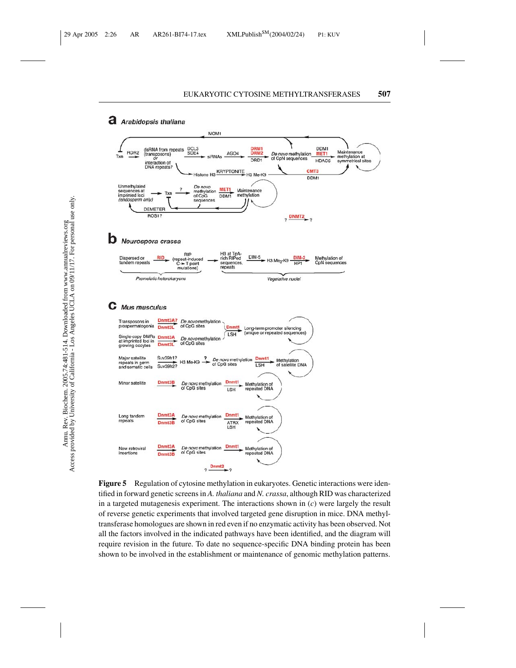## **a** Arabidopsis thaliana



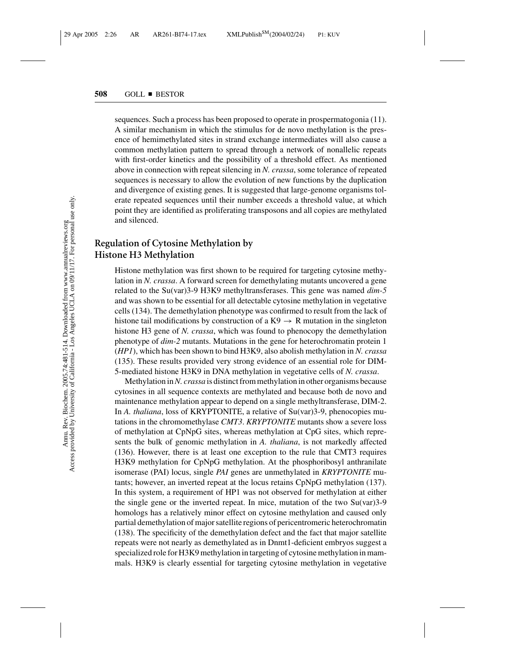sequences. Such a process has been proposed to operate in prospermatogonia (11). A similar mechanism in which the stimulus for de novo methylation is the presence of hemimethylated sites in strand exchange intermediates will also cause a common methylation pattern to spread through a network of nonallelic repeats with first-order kinetics and the possibility of a threshold effect. As mentioned above in connection with repeat silencing in *N. crassa*, some tolerance of repeated sequences is necessary to allow the evolution of new functions by the duplication and divergence of existing genes. It is suggested that large-genome organisms tolerate repeated sequences until their number exceeds a threshold value, at which point they are identified as proliferating transposons and all copies are methylated and silenced.

# **Regulation of Cytosine Methylation by Histone H3 Methylation**

Histone methylation was first shown to be required for targeting cytosine methylation in *N. crassa*. A forward screen for demethylating mutants uncovered a gene related to the Su(var)3-9 H3K9 methyltransferases. This gene was named *dim-5* and was shown to be essential for all detectable cytosine methylation in vegetative cells (134). The demethylation phenotype was confirmed to result from the lack of histone tail modifications by construction of a  $K9 \rightarrow R$  mutation in the singleton histone H3 gene of *N. crassa*, which was found to phenocopy the demethylation phenotype of *dim-2* mutants. Mutations in the gene for heterochromatin protein 1 (*HP1*), which has been shown to bind H3K9, also abolish methylation in *N. crassa* (135). These results provided very strong evidence of an essential role for DIM-5-mediated histone H3K9 in DNA methylation in vegetative cells of *N. crassa*.

Methylation in*N. crassa* is distinct from methylation in other organisms because cytosines in all sequence contexts are methylated and because both de novo and maintenance methylation appear to depend on a single methyltransferase, DIM-2. In *A. thaliana*, loss of KRYPTONITE, a relative of Su(var)3-9, phenocopies mutations in the chromomethylase *CMT3*. *KRYPTONITE* mutants show a severe loss of methylation at CpNpG sites, whereas methylation at CpG sites, which represents the bulk of genomic methylation in *A. thaliana*, is not markedly affected (136). However, there is at least one exception to the rule that CMT3 requires H3K9 methylation for CpNpG methylation. At the phosphoribosyl anthranilate isomerase (PAI) locus, single *PAI* genes are unmethylated in *KRYPTONITE* mutants; however, an inverted repeat at the locus retains CpNpG methylation (137). In this system, a requirement of HP1 was not observed for methylation at either the single gene or the inverted repeat. In mice, mutation of the two  $Su(var)3-9$ homologs has a relatively minor effect on cytosine methylation and caused only partial demethylation of major satellite regions of pericentromeric heterochromatin (138). The specificity of the demethylation defect and the fact that major satellite repeats were not nearly as demethylated as in Dnmt1-deficient embryos suggest a specialized role for H3K9 methylation in targeting of cytosine methylation in mammals. H3K9 is clearly essential for targeting cytosine methylation in vegetative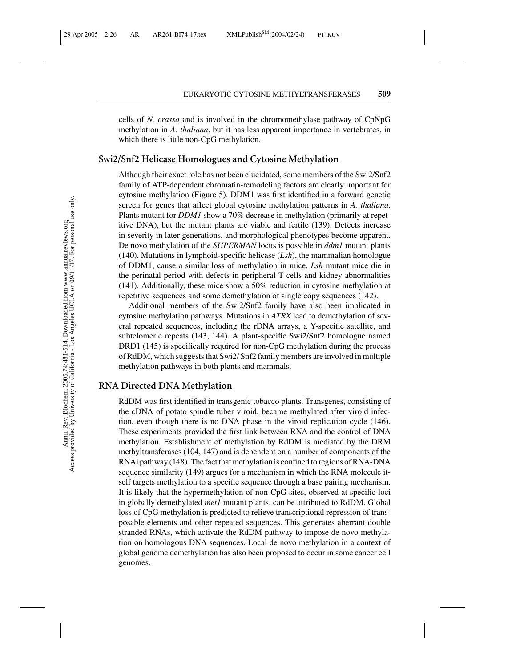cells of *N. crassa* and is involved in the chromomethylase pathway of CpNpG methylation in *A. thaliana*, but it has less apparent importance in vertebrates, in which there is little non-CpG methylation.

#### **Swi2/Snf2 Helicase Homologues and Cytosine Methylation**

Although their exact role has not been elucidated, some members of the Swi2/Snf2 family of ATP-dependent chromatin-remodeling factors are clearly important for cytosine methylation (Figure 5). DDM1 was first identified in a forward genetic screen for genes that affect global cytosine methylation patterns in *A. thaliana*. Plants mutant for *DDM1* show a 70% decrease in methylation (primarily at repetitive DNA), but the mutant plants are viable and fertile (139). Defects increase in severity in later generations, and morphological phenotypes become apparent. De novo methylation of the *SUPERMAN* locus is possible in *ddm1* mutant plants (140). Mutations in lymphoid-specific helicase (*Lsh*), the mammalian homologue of DDM1, cause a similar loss of methylation in mice. *Lsh* mutant mice die in the perinatal period with defects in peripheral T cells and kidney abnormalities (141). Additionally, these mice show a 50% reduction in cytosine methylation at repetitive sequences and some demethylation of single copy sequences (142).

Additional members of the Swi2/Snf2 family have also been implicated in cytosine methylation pathways. Mutations in *ATRX* lead to demethylation of several repeated sequences, including the rDNA arrays, a Y-specific satellite, and subtelomeric repeats (143, 144). A plant-specific Swi2/Snf2 homologue named DRD1 (145) is specifically required for non-CpG methylation during the process of RdDM, which suggests that Swi2/ Snf2 family members are involved in multiple methylation pathways in both plants and mammals.

## **RNA Directed DNA Methylation**

RdDM was first identified in transgenic tobacco plants. Transgenes, consisting of the cDNA of potato spindle tuber viroid, became methylated after viroid infection, even though there is no DNA phase in the viroid replication cycle (146). These experiments provided the first link between RNA and the control of DNA methylation. Establishment of methylation by RdDM is mediated by the DRM methyltransferases (104, 147) and is dependent on a number of components of the RNAi pathway (148). The fact that methylation is confined to regions of RNA-DNA sequence similarity (149) argues for a mechanism in which the RNA molecule itself targets methylation to a specific sequence through a base pairing mechanism. It is likely that the hypermethylation of non-CpG sites, observed at specific loci in globally demethylated *met1* mutant plants, can be attributed to RdDM. Global loss of CpG methylation is predicted to relieve transcriptional repression of transposable elements and other repeated sequences. This generates aberrant double stranded RNAs, which activate the RdDM pathway to impose de novo methylation on homologous DNA sequences. Local de novo methylation in a context of global genome demethylation has also been proposed to occur in some cancer cell genomes.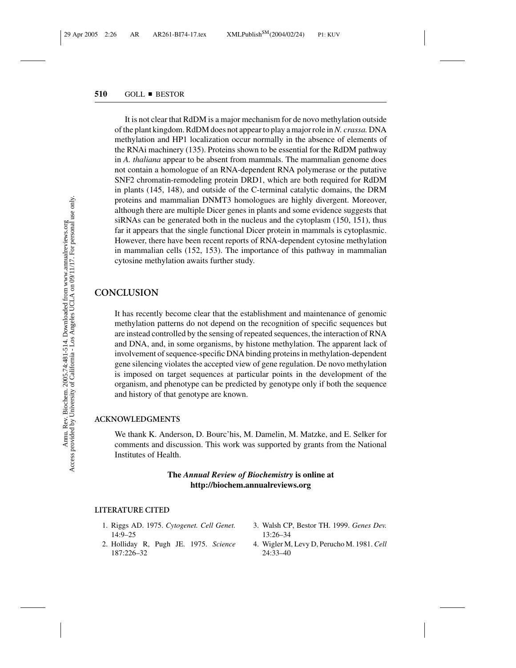It is not clear that RdDM is a major mechanism for de novo methylation outside of the plant kingdom. RdDM does not appear to play a major role in*N. crassa.* DNA methylation and HP1 localization occur normally in the absence of elements of the RNAi machinery (135). Proteins shown to be essential for the RdDM pathway in *A. thaliana* appear to be absent from mammals. The mammalian genome does not contain a homologue of an RNA-dependent RNA polymerase or the putative SNF2 chromatin-remodeling protein DRD1, which are both required for RdDM in plants (145, 148), and outside of the C-terminal catalytic domains, the DRM proteins and mammalian DNMT3 homologues are highly divergent. Moreover, although there are multiple Dicer genes in plants and some evidence suggests that siRNAs can be generated both in the nucleus and the cytoplasm (150, 151), thus far it appears that the single functional Dicer protein in mammals is cytoplasmic. However, there have been recent reports of RNA-dependent cytosine methylation in mammalian cells (152, 153). The importance of this pathway in mammalian cytosine methylation awaits further study.

## **CONCLUSION**

It has recently become clear that the establishment and maintenance of genomic methylation patterns do not depend on the recognition of specific sequences but are instead controlled by the sensing of repeated sequences, the interaction of RNA and DNA, and, in some organisms, by histone methylation. The apparent lack of involvement of sequence-specific DNA binding proteins in methylation-dependent gene silencing violates the accepted view of gene regulation. De novo methylation is imposed on target sequences at particular points in the development of the organism, and phenotype can be predicted by genotype only if both the sequence and history of that genotype are known.

#### **ACKNOWLEDGMENTS**

We thank K. Anderson, D. Bourc'his, M. Damelin, M. Matzke, and E. Selker for comments and discussion. This work was supported by grants from the National Institutes of Health.

## **The** *Annual Review of Biochemistry* **is online at http://biochem.annualreviews.org**

#### **LITERATURE CITED**

- 1. Riggs AD. 1975. *Cytogenet. Cell Genet.* 14:9–25
- 2. Holliday R, Pugh JE. 1975. *Science* 187:226–32
- 3. Walsh CP, Bestor TH. 1999. *Genes Dev.* 13:26–34
- 4. Wigler M, Levy D, Perucho M. 1981. *Cell* 24:33–40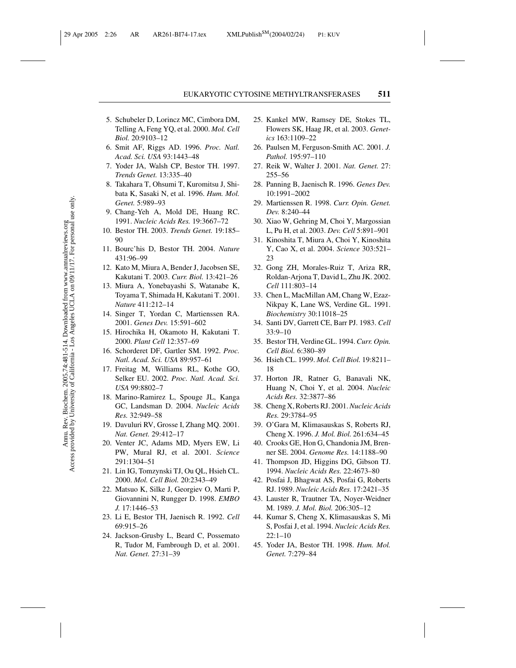- 5. Schubeler D, Lorincz MC, Cimbora DM, Telling A, Feng YQ, et al. 2000. *Mol. Cell Biol.* 20:9103–12
- 6. Smit AF, Riggs AD. 1996. *Proc. Natl. Acad. Sci. USA* 93:1443–48
- 7. Yoder JA, Walsh CP, Bestor TH. 1997. *Trends Genet.* 13:335–40
- 8. Takahara T, Ohsumi T, Kuromitsu J, Shibata K, Sasaki N, et al. 1996. *Hum. Mol. Genet.* 5:989–93
- 9. Chang-Yeh A, Mold DE, Huang RC. 1991. *Nucleic Acids Res.* 19:3667–72
- 10. Bestor TH. 2003. *Trends Genet.* 19:185–  $90$
- 11. Bourc'his D, Bestor TH. 2004. *Nature* 431:96–99
- 12. Kato M, Miura A, Bender J, Jacobsen SE, Kakutani T. 2003. *Curr. Biol.* 13:421–26
- 13. Miura A, Yonebayashi S, Watanabe K, Toyama T, Shimada H, Kakutani T. 2001. *Nature* 411:212–14
- 14. Singer T, Yordan C, Martienssen RA. 2001. *Genes Dev.* 15:591–602
- 15. Hirochika H, Okamoto H, Kakutani T. 2000. *Plant Cell* 12:357–69
- 16. Schorderet DF, Gartler SM. 1992. *Proc. Natl. Acad. Sci. USA* 89:957–61
- 17. Freitag M, Williams RL, Kothe GO, Selker EU. 2002. *Proc. Natl. Acad. Sci. USA* 99:8802–7
- 18. Marino-Ramirez L, Spouge JL, Kanga GC, Landsman D. 2004. *Nucleic Acids Res.* 32:949–58
- 19. Davuluri RV, Grosse I, Zhang MQ. 2001. *Nat. Genet.* 29:412–17
- 20. Venter JC, Adams MD, Myers EW, Li PW, Mural RJ, et al. 2001. *Science* 291:1304–51
- 21. Lin IG, Tomzynski TJ, Ou QL, Hsieh CL. 2000. *Mol. Cell Biol.* 20:2343–49
- 22. Matsuo K, Silke J, Georgiev O, Marti P, Giovannini N, Rungger D. 1998. *EMBO J.* 17:1446–53
- 23. Li E, Bestor TH, Jaenisch R. 1992. *Cell* 69:915–26
- 24. Jackson-Grusby L, Beard C, Possemato R, Tudor M, Fambrough D, et al. 2001. *Nat. Genet.* 27:31–39
- 25. Kankel MW, Ramsey DE, Stokes TL, Flowers SK, Haag JR, et al. 2003. *Genetics* 163:1109–22
- 26. Paulsen M, Ferguson-Smith AC. 2001. *J. Pathol.* 195:97–110
- 27. Reik W, Walter J. 2001. *Nat. Genet.* 27: 255–56
- 28. Panning B, Jaenisch R. 1996. *Genes Dev.* 10:1991–2002
- 29. Martienssen R. 1998. *Curr. Opin. Genet. Dev.* 8:240–44
- 30. Xiao W, Gehring M, Choi Y, Margossian L, Pu H, et al. 2003. *Dev. Cell* 5:891–901
- 31. Kinoshita T, Miura A, Choi Y, Kinoshita Y, Cao X, et al. 2004. *Science* 303:521– 23
- 32. Gong ZH, Morales-Ruiz T, Ariza RR, Roldan-Arjona T, David L, Zhu JK. 2002. *Cell* 111:803–14
- 33. Chen L, MacMillan AM, Chang W, Ezaz-Nikpay K, Lane WS, Verdine GL. 1991. *Biochemistry* 30:11018–25
- 34. Santi DV, Garrett CE, Barr PJ. 1983. *Cell* 33:9–10
- 35. Bestor TH, Verdine GL. 1994.*Curr. Opin. Cell Biol.* 6:380–89
- 36. Hsieh CL. 1999. *Mol. Cell Biol.* 19:8211– 18
- 37. Horton JR, Ratner G, Banavali NK, Huang N, Choi Y, et al. 2004. *Nucleic Acids Res.* 32:3877–86
- 38. Cheng X, Roberts RJ. 2001.*Nucleic Acids Res.* 29:3784–95
- 39. O'Gara M, Klimasauskas S, Roberts RJ, Cheng X. 1996. *J. Mol. Biol.* 261:634–45
- 40. Crooks GE, Hon G, Chandonia JM, Brenner SE. 2004. *Genome Res.* 14:1188–90
- 41. Thompson JD, Higgins DG, Gibson TJ. 1994. *Nucleic Acids Res.* 22:4673–80
- 42. Posfai J, Bhagwat AS, Posfai G, Roberts RJ. 1989. *Nucleic Acids Res.* 17:2421–35
- 43. Lauster R, Trautner TA, Noyer-Weidner M. 1989. *J. Mol. Biol.* 206:305–12
- 44. Kumar S, Cheng X, Klimasauskas S, Mi S, Posfai J, et al. 1994. *Nucleic Acids Res.* 22:1–10
- 45. Yoder JA, Bestor TH. 1998. *Hum. Mol. Genet.* 7:279–84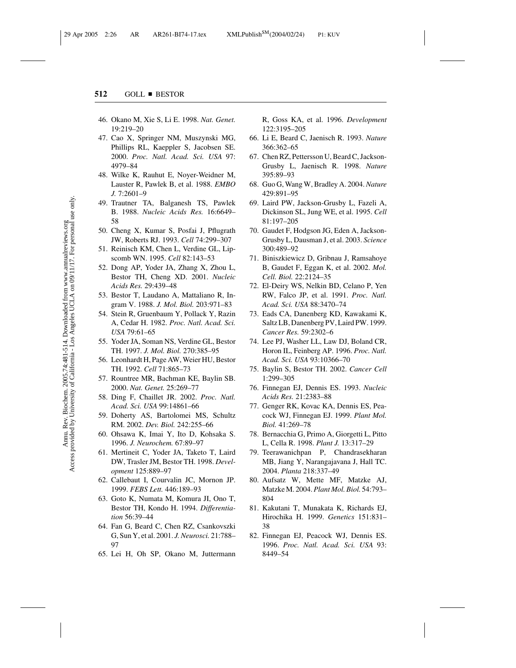- 46. Okano M, Xie S, Li E. 1998. *Nat. Genet.* 19:219–20
- 47. Cao X, Springer NM, Muszynski MG, Phillips RL, Kaeppler S, Jacobsen SE. 2000. *Proc. Natl. Acad. Sci. USA* 97: 4979–84
- 48. Wilke K, Rauhut E, Noyer-Weidner M, Lauster R, Pawlek B, et al. 1988. *EMBO J.* 7:2601–9
- 49. Trautner TA, Balganesh TS, Pawlek B. 1988. *Nucleic Acids Res.* 16:6649– 58
- 50. Cheng X, Kumar S, Posfai J, Pflugrath JW, Roberts RJ. 1993. *Cell* 74:299–307
- 51. Reinisch KM, Chen L, Verdine GL, Lipscomb WN. 1995. *Cell* 82:143–53
- 52. Dong AP, Yoder JA, Zhang X, Zhou L, Bestor TH, Cheng XD. 2001. *Nucleic Acids Res.* 29:439–48
- 53. Bestor T, Laudano A, Mattaliano R, Ingram V. 1988. *J. Mol. Biol.* 203:971–83
- 54. Stein R, Gruenbaum Y, Pollack Y, Razin A, Cedar H. 1982. *Proc. Natl. Acad. Sci. USA* 79:61–65
- 55. Yoder JA, Soman NS, Verdine GL, Bestor TH. 1997. *J. Mol. Biol.* 270:385–95
- 56. Leonhardt H, Page AW, Weier HU, Bestor TH. 1992. *Cell* 71:865–73
- 57. Rountree MR, Bachman KE, Baylin SB. 2000. *Nat. Genet.* 25:269–77
- 58. Ding F, Chaillet JR. 2002. *Proc. Natl. Acad. Sci. USA* 99:14861–66
- 59. Doherty AS, Bartolomei MS, Schultz RM. 2002. *Dev. Biol.* 242:255–66
- 60. Ohsawa K, Imai Y, Ito D, Kohsaka S. 1996. *J. Neurochem.* 67:89–97
- 61. Mertineit C, Yoder JA, Taketo T, Laird DW, Trasler JM, Bestor TH. 1998. *Development* 125:889–97
- 62. Callebaut I, Courvalin JC, Mornon JP. 1999. *FEBS Lett.* 446:189–93
- 63. Goto K, Numata M, Komura JI, Ono T, Bestor TH, Kondo H. 1994. *Differentiation* 56:39–44
- 64. Fan G, Beard C, Chen RZ, Csankovszki G, Sun Y, et al. 2001. *J.Neurosci.* 21:788– 97
- 65. Lei H, Oh SP, Okano M, Juttermann

R, Goss KA, et al. 1996. *Development* 122:3195–205

- 66. Li E, Beard C, Jaenisch R. 1993. *Nature* 366:362–65
- 67. Chen RZ, Pettersson U, Beard C, Jackson-Grusby L, Jaenisch R. 1998. *Nature* 395:89–93
- 68. Guo G, Wang W, Bradley A. 2004.*Nature* 429:891–95
- 69. Laird PW, Jackson-Grusby L, Fazeli A, Dickinson SL, Jung WE, et al. 1995. *Cell* 81:197–205
- 70. Gaudet F, Hodgson JG, Eden A, Jackson-Grusby L, Dausman J, et al. 2003. *Science* 300:489–92
- 71. Biniszkiewicz D, Gribnau J, Ramsahoye B, Gaudet F, Eggan K, et al. 2002. *Mol. Cell. Biol.* 22:2124–35
- 72. El-Deiry WS, Nelkin BD, Celano P, Yen RW, Falco JP, et al. 1991. *Proc. Natl. Acad. Sci. USA* 88:3470–74
- 73. Eads CA, Danenberg KD, Kawakami K, Saltz LB, Danenberg PV, Laird PW. 1999. *Cancer Res.* 59:2302–6
- 74. Lee PJ, Washer LL, Law DJ, Boland CR, Horon IL, Feinberg AP. 1996. *Proc. Natl. Acad. Sci. USA* 93:10366–70
- 75. Baylin S, Bestor TH. 2002. *Cancer Cell* 1:299–305
- 76. Finnegan EJ, Dennis ES. 1993. *Nucleic Acids Res.* 21:2383–88
- 77. Genger RK, Kovac KA, Dennis ES, Peacock WJ, Finnegan EJ. 1999. *Plant Mol. Biol.* 41:269–78
- 78. Bernacchia G, Primo A, Giorgetti L, Pitto L, Cella R. 1998. *Plant J.* 13:317–29
- 79. Teerawanichpan P, Chandrasekharan MB, Jiang Y, Narangajavana J, Hall TC. 2004. *Planta* 218:337–49
- 80. Aufsatz W, Mette MF, Matzke AJ, Matzke M. 2004.*Plant Mol. Biol.* 54:793– 804
- 81. Kakutani T, Munakata K, Richards EJ, Hirochika H. 1999. *Genetics* 151:831– 38
- 82. Finnegan EJ, Peacock WJ, Dennis ES. 1996. *Proc. Natl. Acad. Sci. USA* 93: 8449–54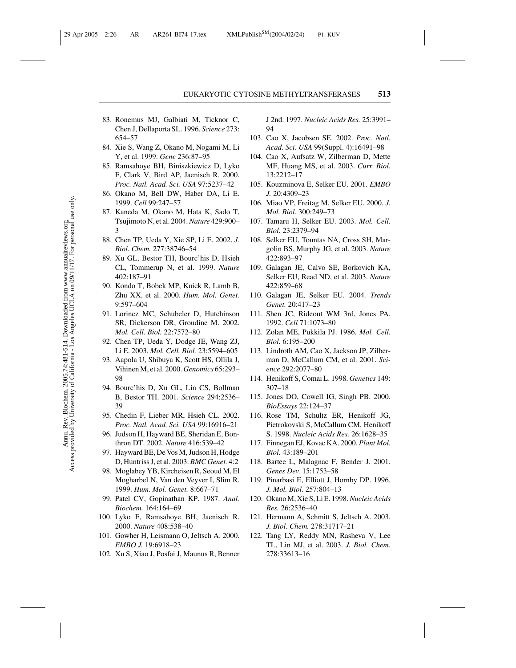- 83. Ronemus MJ, Galbiati M, Ticknor C, Chen J, Dellaporta SL. 1996. *Science* 273: 654–57
- 84. Xie S, Wang Z, Okano M, Nogami M, Li Y, et al. 1999. *Gene* 236:87–95
- 85. Ramsahoye BH, Biniszkiewicz D, Lyko F, Clark V, Bird AP, Jaenisch R. 2000. *Proc. Natl. Acad. Sci. USA* 97:5237–42
- 86. Okano M, Bell DW, Haber DA, Li E. 1999. *Cell* 99:247–57
- 87. Kaneda M, Okano M, Hata K, Sado T, Tsujimoto N, et al. 2004.*Nature* 429:900– 3
- 88. Chen TP, Ueda Y, Xie SP, Li E. 2002. *J. Biol. Chem.* 277:38746–54
- 89. Xu GL, Bestor TH, Bourc'his D, Hsieh CL, Tommerup N, et al. 1999. *Nature* 402:187–91
- 90. Kondo T, Bobek MP, Kuick R, Lamb B, Zhu XX, et al. 2000. *Hum. Mol. Genet.* 9:597–604
- 91. Lorincz MC, Schubeler D, Hutchinson SR, Dickerson DR, Groudine M. 2002. *Mol. Cell. Biol.* 22:7572–80
- 92. Chen TP, Ueda Y, Dodge JE, Wang ZJ, Li E. 2003. *Mol. Cell. Biol.* 23:5594–605
- 93. Aapola U, Shibuya K, Scott HS, Ollila J, Vihinen M, et al. 2000. *Genomics* 65:293– 98
- 94. Bourc'his D, Xu GL, Lin CS, Bollman B, Bestor TH. 2001. *Science* 294:2536– 39
- 95. Chedin F, Lieber MR, Hsieh CL. 2002. *Proc. Natl. Acad. Sci. USA* 99:16916–21
- 96. Judson H, Hayward BE, Sheridan E, Bonthron DT. 2002. *Nature* 416:539–42
- 97. Hayward BE, De Vos M, Judson H, Hodge D, Huntriss J, et al. 2003. *BMC Genet.* 4:2
- 98. Moglabey YB, Kircheisen R, Seoud M, El Mogharbel N, Van den Veyver I, Slim R. 1999. *Hum. Mol. Genet.* 8:667–71
- 99. Patel CV, Gopinathan KP. 1987. *Anal. Biochem.* 164:164–69
- 100. Lyko F, Ramsahoye BH, Jaenisch R. 2000. *Nature* 408:538–40
- 101. Gowher H, Leismann O, Jeltsch A. 2000. *EMBO J.* 19:6918–23
- 102. Xu S, Xiao J, Posfai J, Maunus R, Benner

J 2nd. 1997. *Nucleic Acids Res.* 25:3991– 94

- 103. Cao X, Jacobsen SE. 2002. *Proc. Natl. Acad. Sci. USA* 99(Suppl. 4):16491–98
- 104. Cao X, Aufsatz W, Zilberman D, Mette MF, Huang MS, et al. 2003. *Curr. Biol.* 13:2212–17
- 105. Kouzminova E, Selker EU. 2001. *EMBO J.* 20:4309–23
- 106. Miao VP, Freitag M, Selker EU. 2000. *J. Mol. Biol.* 300:249–73
- 107. Tamaru H, Selker EU. 2003. *Mol. Cell. Biol.* 23:2379–94
- 108. Selker EU, Tountas NA, Cross SH, Margolin BS, Murphy JG, et al. 2003. *Nature* 422:893–97
- 109. Galagan JE, Calvo SE, Borkovich KA, Selker EU, Read ND, et al. 2003. *Nature* 422:859–68
- 110. Galagan JE, Selker EU. 2004. *Trends Genet.* 20:417–23
- 111. Shen JC, Rideout WM 3rd, Jones PA. 1992. *Cell* 71:1073–80
- 112. Zolan ME, Pukkila PJ. 1986. *Mol. Cell. Biol.* 6:195–200
- 113. Lindroth AM, Cao X, Jackson JP, Zilberman D, McCallum CM, et al. 2001. *Science* 292:2077–80
- 114. Henikoff S, Comai L. 1998. *Genetics* 149: 307–18
- 115. Jones DO, Cowell IG, Singh PB. 2000. *BioEssays* 22:124–37
- 116. Rose TM, Schultz ER, Henikoff JG, Pietrokovski S, McCallum CM, Henikoff S. 1998. *Nucleic Acids Res.* 26:1628–35
- 117. Finnegan EJ, Kovac KA. 2000. *Plant Mol. Biol.* 43:189–201
- 118. Bartee L, Malagnac F, Bender J. 2001. *Genes Dev.* 15:1753–58
- 119. Pinarbasi E, Elliott J, Hornby DP. 1996. *J. Mol. Biol.* 257:804–13
- 120. Okano M, Xie S, Li E. 1998.*Nucleic Acids Res.* 26:2536–40
- 121. Hermann A, Schmitt S, Jeltsch A. 2003. *J. Biol. Chem.* 278:31717–21
- 122. Tang LY, Reddy MN, Rasheva V, Lee TL, Lin MJ, et al. 2003. *J. Biol. Chem.* 278:33613–16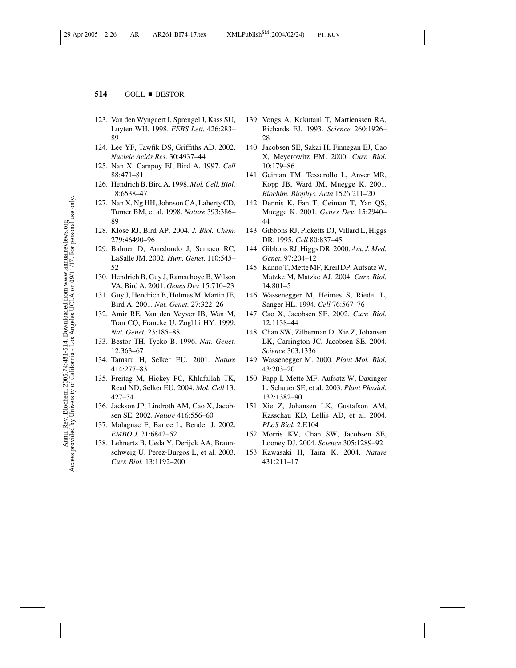- 123. Van den Wyngaert I, Sprengel J, Kass SU, Luyten WH. 1998. *FEBS Lett.* 426:283– 89
- 124. Lee YF, Tawfik DS, Griffiths AD. 2002. *Nucleic Acids Res.* 30:4937–44
- 125. Nan X, Campoy FJ, Bird A. 1997. *Cell* 88:471–81
- 126. Hendrich B, Bird A. 1998. *Mol. Cell. Biol.* 18:6538–47
- 127. Nan X, Ng HH, Johnson CA, Laherty CD, Turner BM, et al. 1998. *Nature* 393:386– 89
- 128. Klose RJ, Bird AP. 2004. *J. Biol. Chem.* 279:46490–96
- 129. Balmer D, Arredondo J, Samaco RC, LaSalle JM. 2002. *Hum. Genet.* 110:545– 52
- 130. Hendrich B, Guy J, Ramsahoye B, Wilson VA, Bird A. 2001. *Genes Dev.* 15:710–23
- 131. Guy J, Hendrich B, Holmes M, Martin JE, Bird A. 2001. *Nat. Genet.* 27:322–26
- 132. Amir RE, Van den Veyver IB, Wan M, Tran CQ, Francke U, Zoghbi HY. 1999. *Nat. Genet.* 23:185–88
- 133. Bestor TH, Tycko B. 1996. *Nat. Genet.* 12:363–67
- 134. Tamaru H, Selker EU. 2001. *Nature* 414:277–83
- 135. Freitag M, Hickey PC, Khlafallah TK, Read ND, Selker EU. 2004. *Mol. Cell* 13: 427–34
- 136. Jackson JP, Lindroth AM, Cao X, Jacobsen SE. 2002. *Nature* 416:556–60
- 137. Malagnac F, Bartee L, Bender J. 2002. *EMBO J.* 21:6842–52
- 138. Lehnertz B, Ueda Y, Derijck AA, Braunschweig U, Perez-Burgos L, et al. 2003. *Curr. Biol.* 13:1192–200
- 139. Vongs A, Kakutani T, Martienssen RA, Richards EJ. 1993. *Science* 260:1926– 28
- 140. Jacobsen SE, Sakai H, Finnegan EJ, Cao X, Meyerowitz EM. 2000. *Curr. Biol.* 10:179–86
- 141. Geiman TM, Tessarollo L, Anver MR, Kopp JB, Ward JM, Muegge K. 2001. *Biochim. Biophys. Acta* 1526:211–20
- 142. Dennis K, Fan T, Geiman T, Yan QS, Muegge K. 2001. *Genes Dev.* 15:2940– 44
- 143. Gibbons RJ, Picketts DJ, Villard L, Higgs DR. 1995. *Cell* 80:837–45
- 144. Gibbons RJ, Higgs DR. 2000. *Am. J. Med. Genet.* 97:204–12
- 145. Kanno T, Mette MF, Kreil DP, Aufsatz W, Matzke M, Matzke AJ. 2004. *Curr. Biol.* 14:801–5
- 146. Wassenegger M, Heimes S, Riedel L, Sanger HL. 1994. *Cell* 76:567–76
- 147. Cao X, Jacobsen SE. 2002. *Curr. Biol.* 12:1138–44
- 148. Chan SW, Zilberman D, Xie Z, Johansen LK, Carrington JC, Jacobsen SE. 2004. *Science* 303:1336
- 149. Wassenegger M. 2000. *Plant Mol. Biol.* 43:203–20
- 150. Papp I, Mette MF, Aufsatz W, Daxinger L, Schauer SE, et al. 2003. *Plant Physiol.* 132:1382–90
- 151. Xie Z, Johansen LK, Gustafson AM, Kasschau KD, Lellis AD, et al. 2004. *PLoS Biol.* 2:E104
- 152. Morris KV, Chan SW, Jacobsen SE, Looney DJ. 2004. *Science* 305:1289–92
- 153. Kawasaki H, Taira K. 2004. *Nature* 431:211–17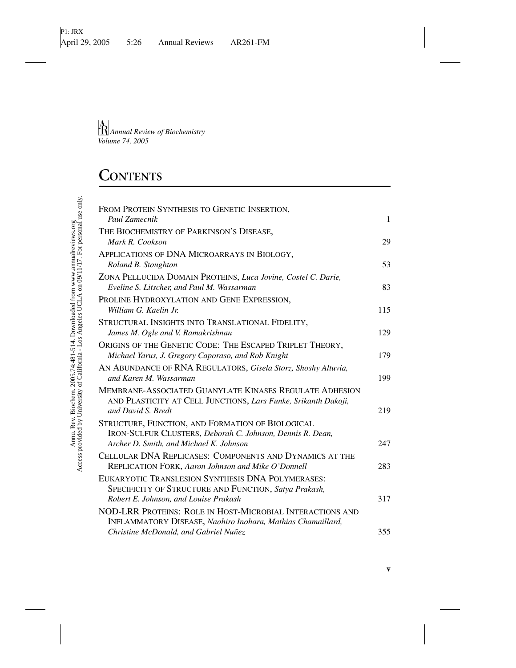# **CONTENTS**

| FROM PROTEIN SYNTHESIS TO GENETIC INSERTION,<br>Paul Zamecnik                                                                                                     | $\mathbf{1}$ |
|-------------------------------------------------------------------------------------------------------------------------------------------------------------------|--------------|
| THE BIOCHEMISTRY OF PARKINSON'S DISEASE,<br>Mark R. Cookson                                                                                                       | 29           |
| APPLICATIONS OF DNA MICROARRAYS IN BIOLOGY,<br>Roland B. Stoughton                                                                                                | 53           |
| ZONA PELLUCIDA DOMAIN PROTEINS, Luca Jovine, Costel C. Darie,<br>Eveline S. Litscher, and Paul M. Wassarman                                                       | 83           |
| PROLINE HYDROXYLATION AND GENE EXPRESSION,<br>William G. Kaelin Jr.                                                                                               | 115          |
| STRUCTURAL INSIGHTS INTO TRANSLATIONAL FIDELITY,<br>James M. Ogle and V. Ramakrishnan                                                                             | 129          |
| ORIGINS OF THE GENETIC CODE: THE ESCAPED TRIPLET THEORY,<br>Michael Yarus, J. Gregory Caporaso, and Rob Knight                                                    | 179          |
| AN ABUNDANCE OF RNA REGULATORS, Gisela Storz, Shoshy Altuvia,<br>and Karen M. Wassarman                                                                           | 199          |
| <b>MEMBRANE-ASSOCIATED GUANYLATE KINASES REGULATE ADHESION</b><br>AND PLASTICITY AT CELL JUNCTIONS, Lars Funke, Srikanth Dakoji,<br>and David S. Bredt            | 219          |
| STRUCTURE, FUNCTION, AND FORMATION OF BIOLOGICAL<br>IRON-SULFUR CLUSTERS, Deborah C. Johnson, Dennis R. Dean,<br>Archer D. Smith, and Michael K. Johnson          | 247          |
| CELLULAR DNA REPLICASES: COMPONENTS AND DYNAMICS AT THE<br>REPLICATION FORK, Aaron Johnson and Mike O'Donnell                                                     | 283          |
| EUKARYOTIC TRANSLESION SYNTHESIS DNA POLYMERASES:<br>SPECIFICITY OF STRUCTURE AND FUNCTION, Satya Prakash,<br>Robert E. Johnson, and Louise Prakash               | 317          |
| NOD-LRR PROTEINS: ROLE IN HOST-MICROBIAL INTERACTIONS AND<br>INFLAMMATORY DISEASE, Naohiro Inohara, Mathias Chamaillard,<br>Christine McDonald, and Gabriel Nuñez | 355          |
|                                                                                                                                                                   |              |